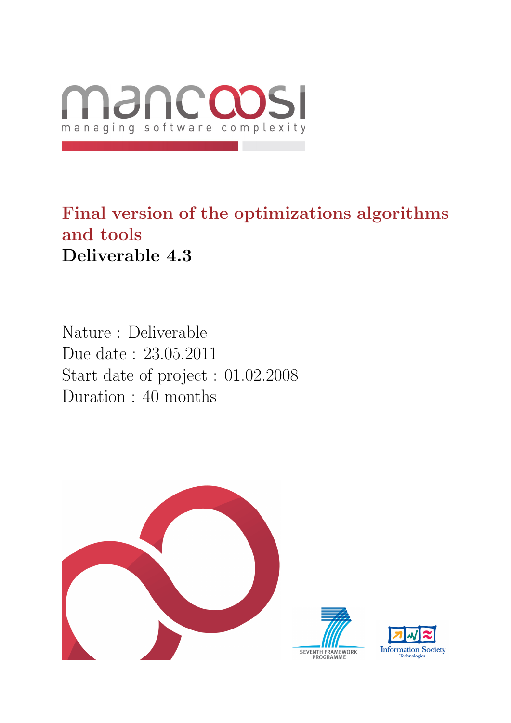

## Final version of the optimizations algorithms and tools Deliverable 4.3

Nature : Deliverable Due date : 23.05.2011 Start date of project : 01.02.2008 Duration : 40 months



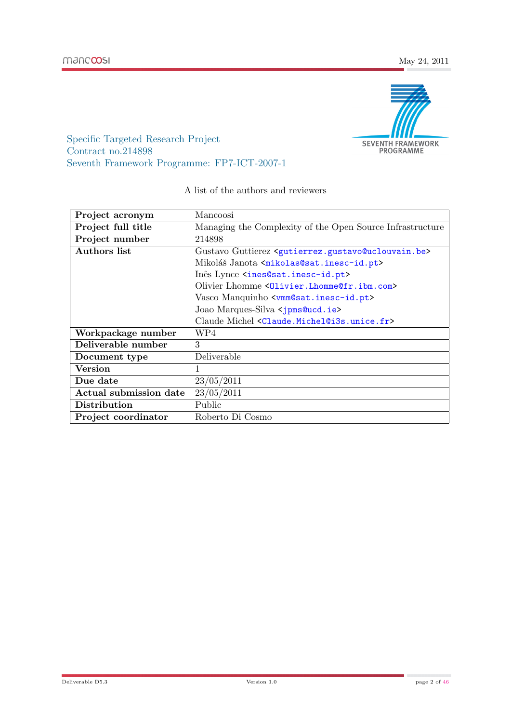

Specific Targeted Research Project Contract no.214898 Seventh Framework Programme: FP7-ICT-2007-1

| Project acronym        | Mancoosi                                                                            |
|------------------------|-------------------------------------------------------------------------------------|
| Project full title     | Managing the Complexity of the Open Source Infrastructure                           |
| Project number         | 214898                                                                              |
| Authors list           | Gustavo Guttierez <gutierrez.gustavo@uclouvain.be></gutierrez.gustavo@uclouvain.be> |
|                        | Mikoláš Janota <mikolas@sat.inesc-id.pt></mikolas@sat.inesc-id.pt>                  |
|                        | Inês Lynce <ines@sat.inesc-id.pt></ines@sat.inesc-id.pt>                            |
|                        | Olivier Lhomme $\langle 0 \rangle$ ivier. Lhomme@fr. ibm. com>                      |
|                        | Vasco Manquinho <vmm@sat.inesc-id.pt></vmm@sat.inesc-id.pt>                         |
|                        | Joao Marques-Silva < jpms@ucd.ie>                                                   |
|                        | Claude Michel <claude.michel@i3s.unice.fr></claude.michel@i3s.unice.fr>             |
| Workpackage number     | WP4                                                                                 |
| Deliverable number     | 3                                                                                   |
| Document type          | Deliverable                                                                         |
| <b>Version</b>         | 1                                                                                   |
| Due date               | 23/05/2011                                                                          |
| Actual submission date | 23/05/2011                                                                          |
| Distribution           | Public                                                                              |
| Project coordinator    | Roberto Di Cosmo                                                                    |

#### A list of the authors and reviewers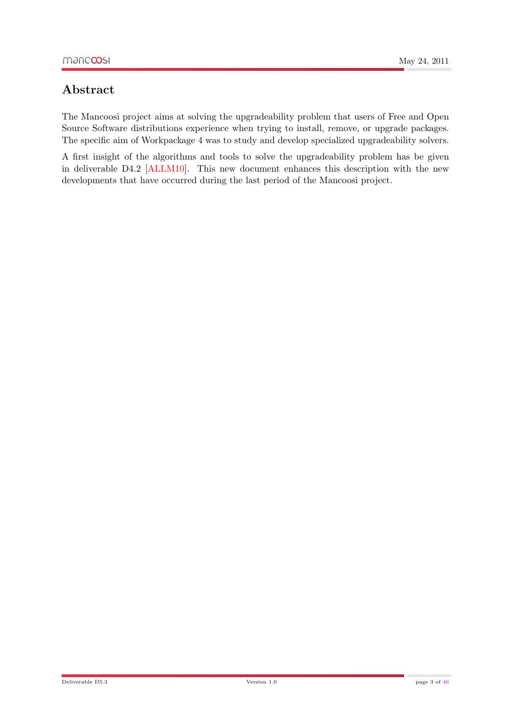## Abstract

The Mancoosi project aims at solving the upgradeability problem that users of Free and Open Source Software distributions experience when trying to install, remove, or upgrade packages. The specific aim of Workpackage 4 was to study and develop specialized upgradeability solvers.

A first insight of the algorithms and tools to solve the upgradeability problem has be given in deliverable D4.2 [\[ALLM10\]](#page-44-0). This new document enhances this description with the new developments that have occurred during the last period of the Mancoosi project.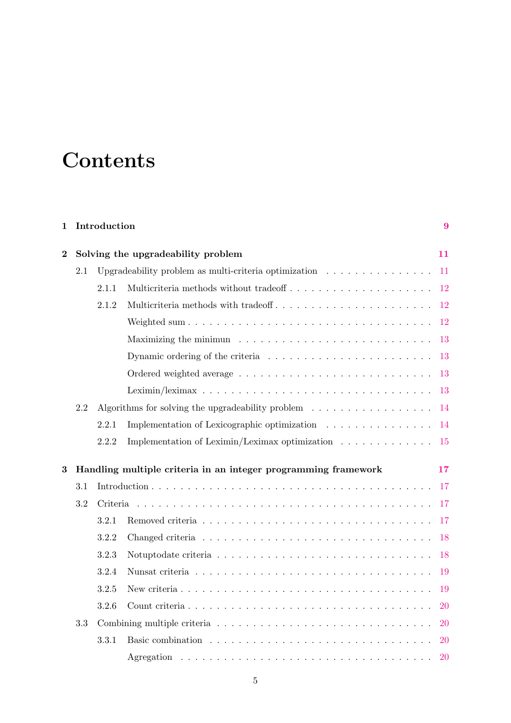# **Contents**

| 1                                                                   |     | Introduction                       |                                                                                            | 9             |  |  |
|---------------------------------------------------------------------|-----|------------------------------------|--------------------------------------------------------------------------------------------|---------------|--|--|
| $\bf{2}$                                                            |     | Solving the upgradeability problem |                                                                                            |               |  |  |
|                                                                     | 2.1 |                                    | Upgradeability problem as multi-criteria optimization $\ldots \ldots \ldots \ldots \ldots$ | -11           |  |  |
|                                                                     |     | 2.1.1                              |                                                                                            | 12            |  |  |
|                                                                     |     | 2.1.2                              |                                                                                            | <sup>12</sup> |  |  |
|                                                                     |     |                                    |                                                                                            | <sup>12</sup> |  |  |
|                                                                     |     |                                    | Maximizing the minimum $\ldots \ldots \ldots \ldots \ldots \ldots \ldots \ldots \ldots$    | 13            |  |  |
|                                                                     |     |                                    | Dynamic ordering of the criteria $\ldots \ldots \ldots \ldots \ldots \ldots \ldots$        | -13           |  |  |
|                                                                     |     |                                    |                                                                                            | 13            |  |  |
|                                                                     |     |                                    |                                                                                            | <sup>13</sup> |  |  |
|                                                                     | 2.2 |                                    | Algorithms for solving the upgradeability problem $\ldots \ldots \ldots \ldots \ldots$     | -14           |  |  |
|                                                                     |     | 2.2.1                              | Implementation of Lexicographic optimization                                               | -14           |  |  |
|                                                                     |     | 2.2.2                              | Implementation of Leximin/Leximax optimization                                             | <sup>15</sup> |  |  |
| Handling multiple criteria in an integer programming framework<br>3 |     |                                    |                                                                                            | 17            |  |  |
|                                                                     | 3.1 |                                    |                                                                                            | -17           |  |  |
|                                                                     | 3.2 | Criteria                           |                                                                                            |               |  |  |
|                                                                     |     | 3.2.1                              |                                                                                            | 17            |  |  |
|                                                                     |     | 3.2.2                              |                                                                                            | 18            |  |  |
|                                                                     |     | 3.2.3                              |                                                                                            | 18            |  |  |
|                                                                     |     | 3.2.4                              |                                                                                            | 19            |  |  |
|                                                                     |     | 3.2.5                              |                                                                                            | 19            |  |  |
|                                                                     |     | 3.2.6                              |                                                                                            | <b>20</b>     |  |  |
|                                                                     | 3.3 |                                    |                                                                                            | <b>20</b>     |  |  |
|                                                                     |     | 3.3.1                              |                                                                                            | <b>20</b>     |  |  |
|                                                                     |     |                                    |                                                                                            | <b>20</b>     |  |  |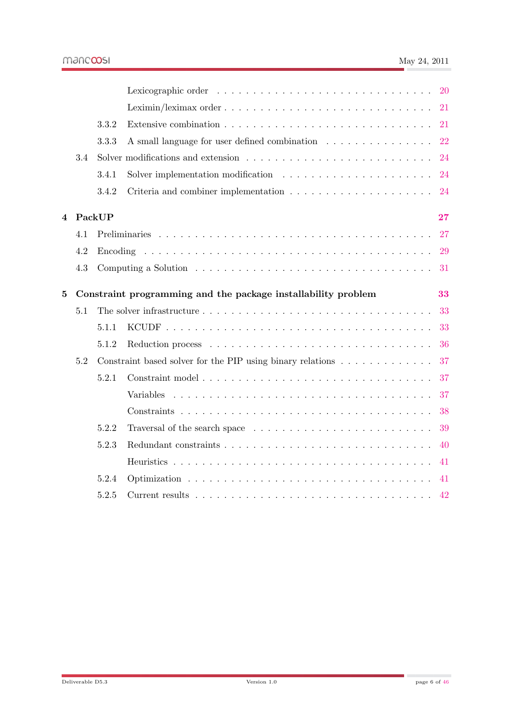|          |     |          |                                                                                              | <b>20</b> |
|----------|-----|----------|----------------------------------------------------------------------------------------------|-----------|
|          |     |          |                                                                                              | 21        |
|          |     | 3.3.2    |                                                                                              | 21        |
|          |     | 3.3.3    | A small language for user defined combination                                                | 22        |
|          | 3.4 |          | Solver modifications and extension $\ldots \ldots \ldots \ldots \ldots \ldots \ldots \ldots$ | 24        |
|          |     | 3.4.1    | Solver implementation modification $\ldots \ldots \ldots \ldots \ldots \ldots \ldots$        | 24        |
|          |     | 3.4.2    | Criteria and combiner implementation $\ldots \ldots \ldots \ldots \ldots \ldots \ldots$      | 24        |
| 4        |     | PackUP   |                                                                                              | 27        |
|          | 4.1 |          |                                                                                              | 27        |
|          | 4.2 | Encoding |                                                                                              | 29        |
|          | 4.3 |          |                                                                                              | 31        |
| $\bf{5}$ |     |          | Constraint programming and the package installability problem                                | 33        |
|          | 5.1 |          |                                                                                              | 33        |
|          |     | 5.1.1    |                                                                                              | 33        |
|          |     | 5.1.2    |                                                                                              | 36        |
|          | 5.2 |          | Constraint based solver for the PIP using binary relations $\dots \dots \dots \dots$         | 37        |
|          |     | 5.2.1    |                                                                                              | 37        |
|          |     |          | Variables                                                                                    | 37        |
|          |     |          |                                                                                              | 38        |
|          |     | 5.2.2    |                                                                                              | 39        |
|          |     | 5.2.3    |                                                                                              | 40        |
|          |     |          |                                                                                              | 41        |
|          |     | 5.2.4    |                                                                                              | 41        |
|          |     | 5.2.5    |                                                                                              | 42        |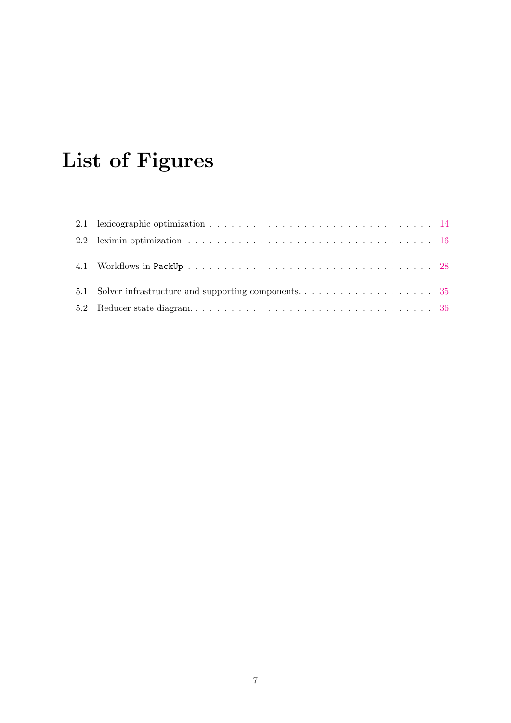# List of Figures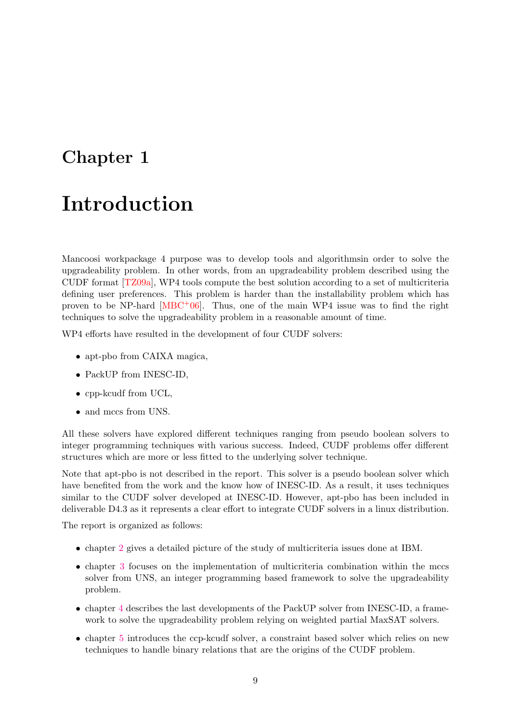## <span id="page-8-0"></span>Chapter 1

## Introduction

Mancoosi workpackage 4 purpose was to develop tools and algorithmsin order to solve the upgradeability problem. In other words, from an upgradeability problem described using the CUDF format [\[TZ09a\]](#page-45-1), WP4 tools compute the best solution according to a set of multicriteria defining user preferences. This problem is harder than the installability problem which has proven to be NP-hard  $[MBC^+06]$  $[MBC^+06]$ . Thus, one of the main WP4 issue was to find the right techniques to solve the upgradeability problem in a reasonable amount of time.

WP4 efforts have resulted in the development of four CUDF solvers:

- apt-pbo from CAIXA magica,
- PackUP from INESC-ID,
- cpp-kcudf from UCL.
- and mccs from UNS.

All these solvers have explored different techniques ranging from pseudo boolean solvers to integer programming techniques with various success. Indeed, CUDF problems offer different structures which are more or less fitted to the underlying solver technique.

Note that apt-pbo is not described in the report. This solver is a pseudo boolean solver which have benefited from the work and the know how of INESC-ID. As a result, it uses techniques similar to the CUDF solver developed at INESC-ID. However, apt-pbo has been included in deliverable D4.3 as it represents a clear effort to integrate CUDF solvers in a linux distribution.

The report is organized as follows:

- chapter [2](#page-10-0) gives a detailed picture of the study of multicriteria issues done at IBM.
- chapter [3](#page-16-0) focuses on the implementation of multicriteria combination within the mccs solver from UNS, an integer programming based framework to solve the upgradeability problem.
- chapter [4](#page-26-0) describes the last developments of the PackUP solver from INESC-ID, a framework to solve the upgradeability problem relying on weighted partial MaxSAT solvers.
- chapter [5](#page-32-0) introduces the ccp-kcudf solver, a constraint based solver which relies on new techniques to handle binary relations that are the origins of the CUDF problem.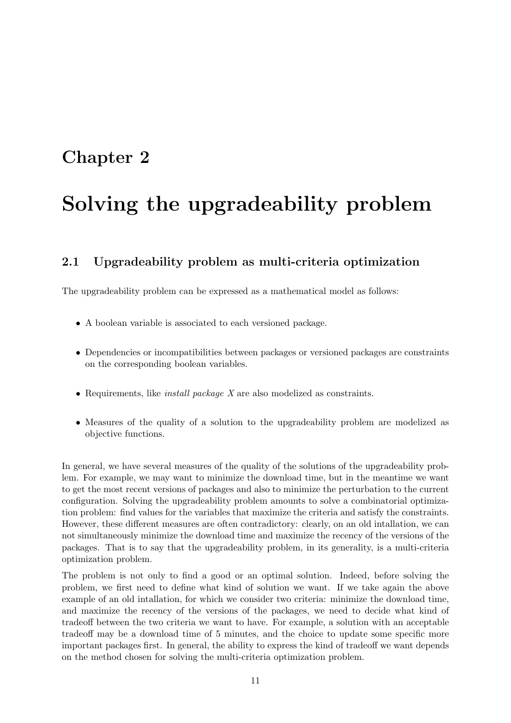## <span id="page-10-0"></span>Chapter 2

# Solving the upgradeability problem

### <span id="page-10-1"></span>2.1 Upgradeability problem as multi-criteria optimization

The upgradeability problem can be expressed as a mathematical model as follows:

- A boolean variable is associated to each versioned package.
- Dependencies or incompatibilities between packages or versioned packages are constraints on the corresponding boolean variables.
- Requirements, like *install package X* are also modelized as constraints.
- Measures of the quality of a solution to the upgradeability problem are modelized as objective functions.

In general, we have several measures of the quality of the solutions of the upgradeability problem. For example, we may want to minimize the download time, but in the meantime we want to get the most recent versions of packages and also to minimize the perturbation to the current configuration. Solving the upgradeability problem amounts to solve a combinatorial optimization problem: find values for the variables that maximize the criteria and satisfy the constraints. However, these different measures are often contradictory: clearly, on an old intallation, we can not simultaneously minimize the download time and maximize the recency of the versions of the packages. That is to say that the upgradeability problem, in its generality, is a multi-criteria optimization problem.

The problem is not only to find a good or an optimal solution. Indeed, before solving the problem, we first need to define what kind of solution we want. If we take again the above example of an old intallation, for which we consider two criteria: minimize the download time, and maximize the recency of the versions of the packages, we need to decide what kind of tradeoff between the two criteria we want to have. For example, a solution with an acceptable tradeoff may be a download time of 5 minutes, and the choice to update some specific more important packages first. In general, the ability to express the kind of tradeoff we want depends on the method chosen for solving the multi-criteria optimization problem.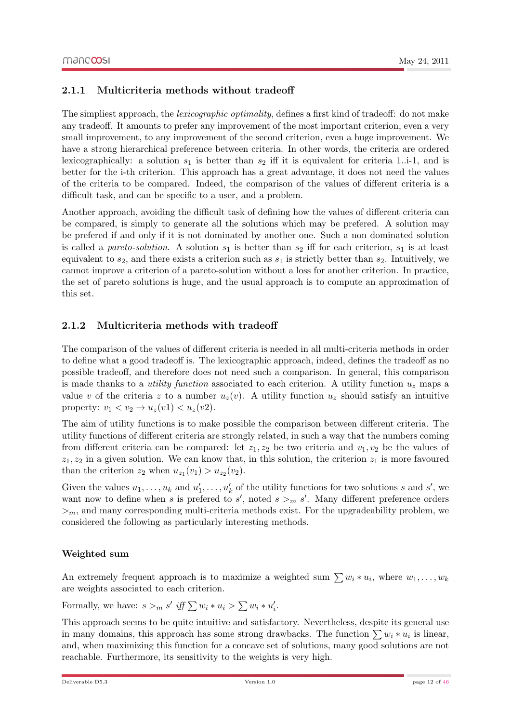#### <span id="page-11-0"></span>2.1.1 Multicriteria methods without tradeoff

The simpliest approach, the *lexicographic optimality*, defines a first kind of tradeoff: do not make any tradeoff. It amounts to prefer any improvement of the most important criterion, even a very small improvement, to any improvement of the second criterion, even a huge improvement. We have a strong hierarchical preference between criteria. In other words, the criteria are ordered lexicographically: a solution  $s_1$  is better than  $s_2$  iff it is equivalent for criteria 1..i-1, and is better for the i-th criterion. This approach has a great advantage, it does not need the values of the criteria to be compared. Indeed, the comparison of the values of different criteria is a difficult task, and can be specific to a user, and a problem.

Another approach, avoiding the difficult task of defining how the values of different criteria can be compared, is simply to generate all the solutions which may be prefered. A solution may be prefered if and only if it is not dominated by another one. Such a non dominated solution is called a pareto-solution. A solution  $s_1$  is better than  $s_2$  iff for each criterion,  $s_1$  is at least equivalent to  $s_2$ , and there exists a criterion such as  $s_1$  is strictly better than  $s_2$ . Intuitively, we cannot improve a criterion of a pareto-solution without a loss for another criterion. In practice, the set of pareto solutions is huge, and the usual approach is to compute an approximation of this set.

#### <span id="page-11-1"></span>2.1.2 Multicriteria methods with tradeoff

The comparison of the values of different criteria is needed in all multi-criteria methods in order to define what a good tradeoff is. The lexicographic approach, indeed, defines the tradeoff as no possible tradeoff, and therefore does not need such a comparison. In general, this comparison is made thanks to a *utility function* associated to each criterion. A utility function  $u<sub>z</sub>$  maps a value v of the criteria z to a number  $u_z(v)$ . A utility function  $u_z$  should satisfy an intuitive property:  $v_1 < v_2 \rightarrow u_z(v1) < u_z(v2)$ .

The aim of utility functions is to make possible the comparison between different criteria. The utility functions of different criteria are strongly related, in such a way that the numbers coming from different criteria can be compared: let  $z_1, z_2$  be two criteria and  $v_1, v_2$  be the values of  $z_1, z_2$  in a given solution. We can know that, in this solution, the criterion  $z_1$  is more favoured than the criterion  $z_2$  when  $u_{z_1}(v_1) > u_{z_2}(v_2)$ .

Given the values  $u_1, \ldots, u_k$  and  $u'_1, \ldots, u'_k$  of the utility functions for two solutions s and s', we want now to define when s is prefered to s', noted  $s >_m s'$ . Many different preference orders  $>_{m}$ , and many corresponding multi-criteria methods exist. For the upgradeability problem, we considered the following as particularly interesting methods.

#### Weighted sum

<span id="page-11-2"></span>An extremely frequent approach is to maximize a weighted sum  $\sum w_i * u_i$ , where  $w_1, \ldots, w_k$ are weights associated to each criterion.

Formally, we have:  $s >_m s'$  iff  $\sum w_i * u_i > \sum w_i * u'_i$ .

This approach seems to be quite intuitive and satisfactory. Nevertheless, despite its general use in many domains, this approach has some strong drawbacks. The function  $\sum w_i * u_i$  is linear, and, when maximizing this function for a concave set of solutions, many good solutions are not reachable. Furthermore, its sensitivity to the weights is very high.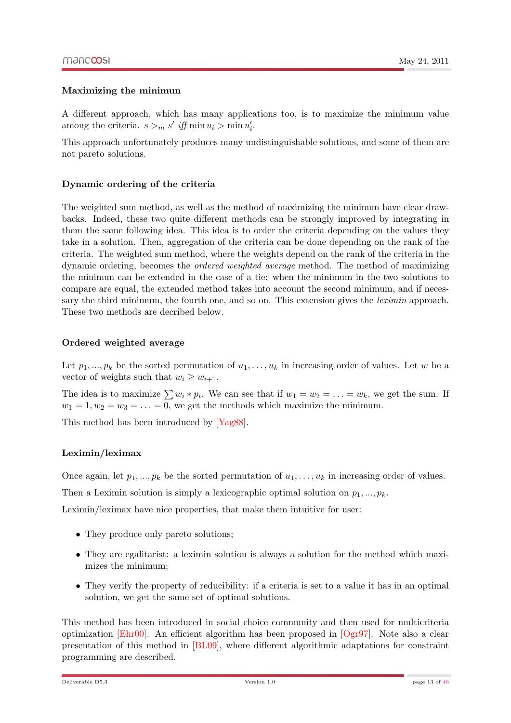#### Maximizing the minimun

<span id="page-12-0"></span>A different approach, which has many applications too, is to maximize the minimum value among the criteria.  $s >_m s'$  iff  $\min u_i > \min u'_i$ .

This approach unfortunately produces many undistinguishable solutions, and some of them are not pareto solutions.

#### Dynamic ordering of the criteria

<span id="page-12-1"></span>The weighted sum method, as well as the method of maximizing the minimun have clear drawbacks. Indeed, these two quite different methods can be strongly improved by integrating in them the same following idea. This idea is to order the criteria depending on the values they take in a solution. Then, aggregation of the criteria can be done depending on the rank of the criteria. The weighted sum method, where the weights depend on the rank of the criteria in the dynamic ordering, becomes the ordered weighted average method. The method of maximizing the minimun can be extended in the case of a tie: when the minimum in the two solutions to compare are equal, the extended method takes into account the second minimum, and if necessary the third minimum, the fourth one, and so on. This extension gives the *leximin* approach. These two methods are decribed below.

#### Ordered weighted average

<span id="page-12-2"></span>Let  $p_1, ..., p_k$  be the sorted permutation of  $u_1, ..., u_k$  in increasing order of values. Let w be a vector of weights such that  $w_i \geq w_{i+1}$ .

The idea is to maximize  $\sum w_i * p_i$ . We can see that if  $w_1 = w_2 = \ldots = w_k$ , we get the sum. If  $w_1 = 1, w_2 = w_3 = \ldots = 0$ , we get the methods which maximize the minimum.

This method has been introduced by [\[Yag88\]](#page-45-2).

#### Leximin/leximax

<span id="page-12-3"></span>Once again, let  $p_1, ..., p_k$  be the sorted permutation of  $u_1, ..., u_k$  in increasing order of values.

Then a Leximin solution is simply a lexicographic optimal solution on  $p_1, ..., p_k$ .

Leximin/leximax have nice properties, that make them intuitive for user:

- They produce only pareto solutions;
- They are egalitarist: a leximin solution is always a solution for the method which maximizes the minimum;
- They verify the property of reducibility: if a criteria is set to a value it has in an optimal solution, we get the same set of optimal solutions.

This method has been introduced in social choice community and then used for multicriteria optimization [\[Ehr00\]](#page-44-2). An efficient algorithm has been proposed in [\[Ogr97\]](#page-45-3). Note also a clear presentation of this method in [\[BL09\]](#page-44-3), where different algorithmic adaptations for constraint programming are described.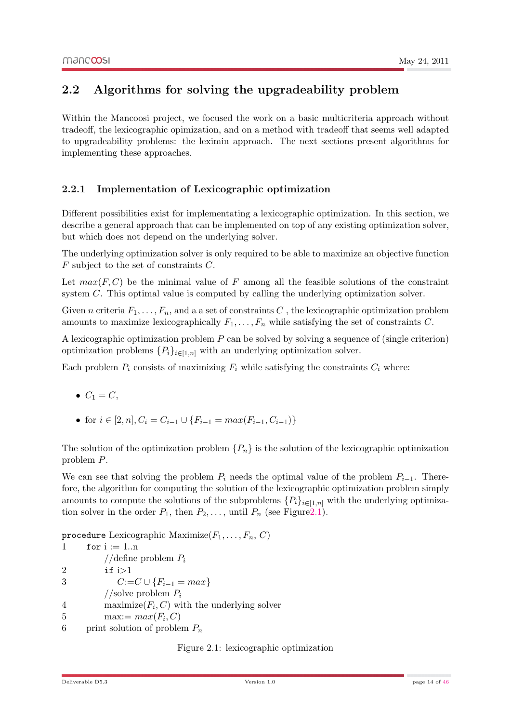### <span id="page-13-0"></span>2.2 Algorithms for solving the upgradeability problem

Within the Mancoosi project, we focused the work on a basic multicriteria approach without tradeoff, the lexicographic opimization, and on a method with tradeoff that seems well adapted to upgradeability problems: the leximin approach. The next sections present algorithms for implementing these approaches.

#### <span id="page-13-1"></span>2.2.1 Implementation of Lexicographic optimization

Different possibilities exist for implementating a lexicographic optimization. In this section, we describe a general approach that can be implemented on top of any existing optimization solver, but which does not depend on the underlying solver.

The underlying optimization solver is only required to be able to maximize an objective function F subject to the set of constraints C.

Let  $max(F, C)$  be the minimal value of F among all the feasible solutions of the constraint system C. This optimal value is computed by calling the underlying optimization solver.

Given n criteria  $F_1, \ldots, F_n$ , and a a set of constraints C, the lexicographic optimization problem amounts to maximize lexicographically  $F_1, \ldots, F_n$  while satisfying the set of constraints C.

A lexicographic optimization problem  $P$  can be solved by solving a sequence of (single criterion) optimization problems  $\{P_i\}_{i\in[1,n]}$  with an underlying optimization solver.

Each problem  $P_i$  consists of maximizing  $F_i$  while satisfying the constraints  $C_i$  where:

- $\bullet \ \ C_1 = C,$
- for  $i \in [2, n], C_i = C_{i-1} \cup \{F_{i-1} = max(F_{i-1}, C_{i-1})\}$

The solution of the optimization problem  $\{P_n\}$  is the solution of the lexicographic optimization problem P.

We can see that solving the problem  $P_i$  needs the optimal value of the problem  $P_{i-1}$ . Therefore, the algorithm for computing the solution of the lexicographic optimization problem simply amounts to compute the solutions of the subproblems  $\{P_i\}_{i\in[1,n]}$  with the underlying optimization solver in the order  $P_1$ , then  $P_2, \ldots$ , until  $P_n$  (see Figure 2.1).

procedure Lexicographic Maximize $(F_1, \ldots, F_n, C)$ 

```
1 for i := 1 \dots n//define problem P_i2 if i>13 C:=C \cup \{F_{i-1} = max\}//solve problem P_i4 maximize(F_i, C) with the underlying solver
5 max:= max(F_i, C)6 print solution of problem P_n
```
<span id="page-13-2"></span>Figure 2.1: lexicographic optimization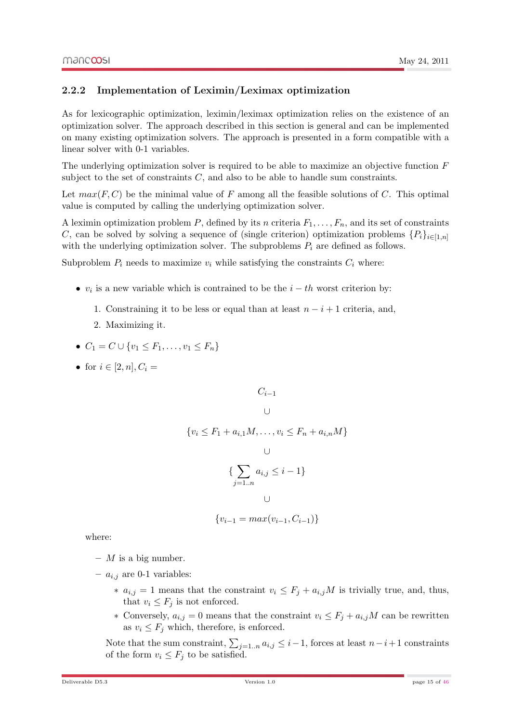#### <span id="page-14-0"></span>2.2.2 Implementation of Leximin/Leximax optimization

As for lexicographic optimization, leximin/leximax optimization relies on the existence of an optimization solver. The approach described in this section is general and can be implemented on many existing optimization solvers. The approach is presented in a form compatible with a linear solver with 0-1 variables.

The underlying optimization solver is required to be able to maximize an objective function  $F$ subject to the set of constraints  $C$ , and also to be able to handle sum constraints.

Let  $max(F, C)$  be the minimal value of F among all the feasible solutions of C. This optimal value is computed by calling the underlying optimization solver.

A leximin optimization problem P, defined by its n criteria  $F_1, \ldots, F_n$ , and its set of constraints C, can be solved by solving a sequence of (single criterion) optimization problems  $\{P_i\}_{i\in[1,n]}$ with the underlying optimization solver. The subproblems  $P_i$  are defined as follows.

Subproblem  $P_i$  needs to maximize  $v_i$  while satisfying the constraints  $C_i$  where:

- $v_i$  is a new variable which is contrained to be the  $i th$  worst criterion by:
	- 1. Constraining it to be less or equal than at least  $n-i+1$  criteria, and,
	- 2. Maximizing it.
- $C_1 = C \cup \{v_1 \leq F_1, \ldots, v_1 \leq F_n\}$
- for  $i \in [2, n], C_i =$

$$
C_{i-1}
$$

$$
\cup
$$

$$
\{v_i \le F_1 + a_{i,1}M, \dots, v_i \le F_n + a_{i,n}M\}
$$

$$
\bigcup_{j=1..n} \mathcal{A}_{i,j} \leq i-1 \}
$$

$$
\{v_{i-1} = max(v_{i-1}, C_{i-1})\}
$$

where:

- $-$  *M* is a big number.
- $a_{i,j}$  are 0-1 variables:
	- $∗ a<sub>i,j</sub> = 1$  means that the constraint  $v<sub>i</sub> ≤ F<sub>j</sub> + a<sub>i,j</sub>M$  is trivially true, and, thus, that  $v_i \leq F_i$  is not enforced.
	- ∗ Conversely,  $a_{i,j} = 0$  means that the constraint  $v_i \leq F_j + a_{i,j}M$  can be rewritten as  $v_i \leq F_i$  which, therefore, is enforced.

Note that the sum constraint,  $\sum_{j=1..n} a_{i,j} \leq i-1$ , forces at least  $n-i+1$  constraints of the form  $v_i \leq F_j$  to be satisfied.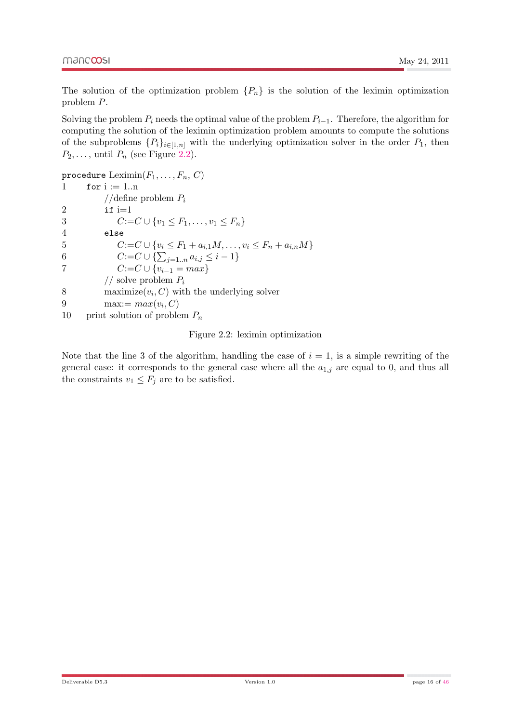The solution of the optimization problem  $\{P_n\}$  is the solution of the leximin optimization problem P.

Solving the problem  $P_i$  needs the optimal value of the problem  $P_{i-1}$ . Therefore, the algorithm for computing the solution of the leximin optimization problem amounts to compute the solutions of the subproblems  $\{P_i\}_{i\in[1,n]}$  with the underlying optimization solver in the order  $P_1$ , then  $P_2, \ldots$ , until  $P_n$  (see Figure [2.2\)](#page-15-0).

procedure  $\text{Leximin}(F_1, \ldots, F_n, C)$ 1 for  $i := 1 \dots n$ //define problem  $P_i$ 2 if  $i=1$ 3  $C:=C\cup \{v_1 \leq F_1,\ldots,v_1 \leq F_n\}$ 4 else 5  $C:=C \cup \{v_i \leq F_1 + a_{i,1}M, \ldots, v_i \leq F_n + a_{i,n}M\}$ 6  $C:=C\cup\{\sum_{j=1..n}a_{i,j}\leq i-1\}$ 7  $C:=C \cup \{v_{i-1} = max\}$ // solve problem  $P_i$ 8 maximize $(v_i, C)$  with the underlying solver 9 max:=  $max(v_i, C)$ 10 print solution of problem  $P_n$ 

<span id="page-15-0"></span>Figure 2.2: leximin optimization

Note that the line 3 of the algorithm, handling the case of  $i = 1$ , is a simple rewriting of the general case: it corresponds to the general case where all the  $a_{1,j}$  are equal to 0, and thus all the constraints  $v_1 \leq F_j$  are to be satisfied.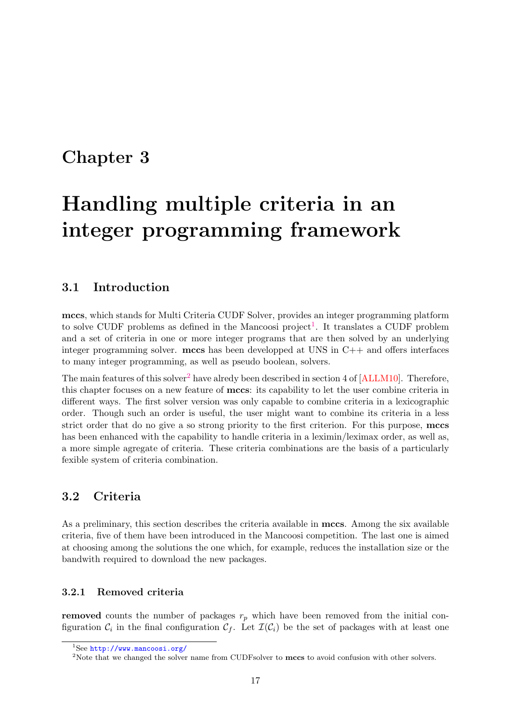## <span id="page-16-0"></span>Chapter 3

# Handling multiple criteria in an integer programming framework

### <span id="page-16-1"></span>3.1 Introduction

mccs, which stands for Multi Criteria CUDF Solver, provides an integer programming platform to solve CUDF problems as defined in the Mancoosi project<sup>[1](#page-16-4)</sup>. It translates a CUDF problem and a set of criteria in one or more integer programs that are then solved by an underlying integer programming solver. mccs has been developped at UNS in C++ and offers interfaces to many integer programming, as well as pseudo boolean, solvers.

The main features of this solver<sup>[2](#page-16-5)</sup> have alredy been described in section 4 of  $[ALLM10]$ . Therefore, this chapter focuses on a new feature of mccs: its capability to let the user combine criteria in different ways. The first solver version was only capable to combine criteria in a lexicographic order. Though such an order is useful, the user might want to combine its criteria in a less strict order that do no give a so strong priority to the first criterion. For this purpose, mccs has been enhanced with the capability to handle criteria in a leximin/leximax order, as well as, a more simple agregate of criteria. These criteria combinations are the basis of a particularly fexible system of criteria combination.

#### <span id="page-16-2"></span>3.2 Criteria

As a preliminary, this section describes the criteria available in mccs. Among the six available criteria, five of them have been introduced in the Mancoosi competition. The last one is aimed at choosing among the solutions the one which, for example, reduces the installation size or the bandwith required to download the new packages.

#### <span id="page-16-3"></span>3.2.1 Removed criteria

removed counts the number of packages  $r_p$  which have been removed from the initial configuration  $\mathcal{C}_i$  in the final configuration  $\mathcal{C}_f$ . Let  $\mathcal{I}(\mathcal{C}_i)$  be the set of packages with at least one

<span id="page-16-4"></span><sup>1</sup>See <http://www.mancoosi.org/>

<span id="page-16-5"></span><sup>&</sup>lt;sup>2</sup>Note that we changed the solver name from CUDFsolver to mccs to avoid confusion with other solvers.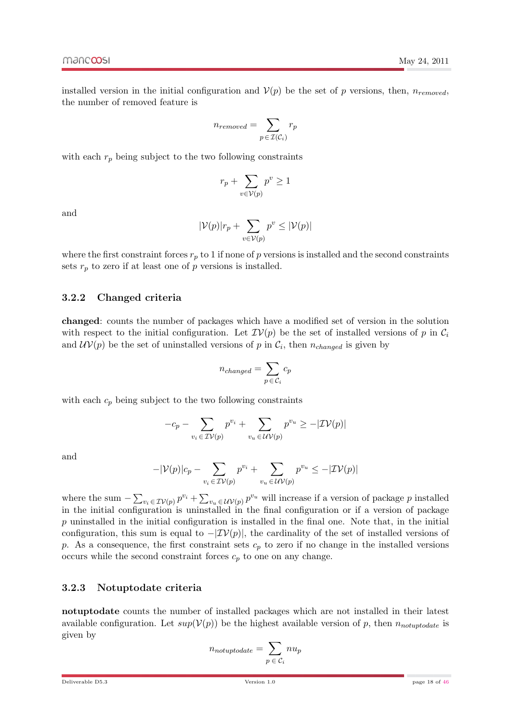installed version in the initial configuration and  $\mathcal{V}(p)$  be the set of p versions, then,  $n_{removed}$ , the number of removed feature is

$$
n_{removed} = \sum_{p \in \mathcal{I}(\mathcal{C}_i)} r_p
$$

with each  $r_p$  being subject to the two following constraints

$$
r_p + \sum_{v \in \mathcal{V}(p)} p^v \ge 1
$$

and

$$
|\mathcal{V}(p)|r_p + \sum_{v \in \mathcal{V}(p)} p^v \leq |\mathcal{V}(p)|
$$

where the first constraint forces  $r_p$  to 1 if none of p versions is installed and the second constraints sets  $r_p$  to zero if at least one of p versions is installed.

#### <span id="page-17-0"></span>3.2.2 Changed criteria

changed: counts the number of packages which have a modified set of version in the solution with respect to the initial configuration. Let  $\mathcal{IV}(p)$  be the set of installed versions of p in  $\mathcal{C}_i$ and  $\mathcal{UV}(p)$  be the set of uninstalled versions of p in  $\mathcal{C}_i$ , then  $n_{changed}$  is given by

$$
n_{changed} = \sum_{p \in C_i} c_p
$$

with each  $c_p$  being subject to the two following constraints

$$
-c_p - \sum_{v_i \in \mathcal{IV}(p)} p^{v_i} + \sum_{v_u \in \mathcal{UV}(p)} p^{v_u} \ge -|\mathcal{IV}(p)|
$$

and

$$
-|\mathcal{V}(p)|c_p - \sum_{v_i \in \mathcal{IV}(p)} p^{v_i} + \sum_{v_u \in \mathcal{UV}(p)} p^{v_u} \le -|\mathcal{IV}(p)|
$$

where the sum  $-\sum_{v_i \in \mathcal{IV}(p)} p^{v_i} + \sum_{v_u \in \mathcal{UV}(p)} p^{v_u}$  will increase if a version of package p installed in the initial configuration is uninstalled in the final configuration or if a version of package  $p$  uninstalled in the initial configuration is installed in the final one. Note that, in the initial configuration, this sum is equal to  $-|\mathcal{IV}(p)|$ , the cardinality of the set of installed versions of p. As a consequence, the first constraint sets  $c_p$  to zero if no change in the installed versions occurs while the second constraint forces  $c_p$  to one on any change.

#### <span id="page-17-1"></span>3.2.3 Notuptodate criteria

notuptodate counts the number of installed packages which are not installed in their latest available configuration. Let  $sup(V(p))$  be the highest available version of p, then  $n_{notupdate}$  is given by

$$
n_{notup to date} = \sum_{p \;\in \;\mathcal{C}_i} n u_p
$$

May 24, 2011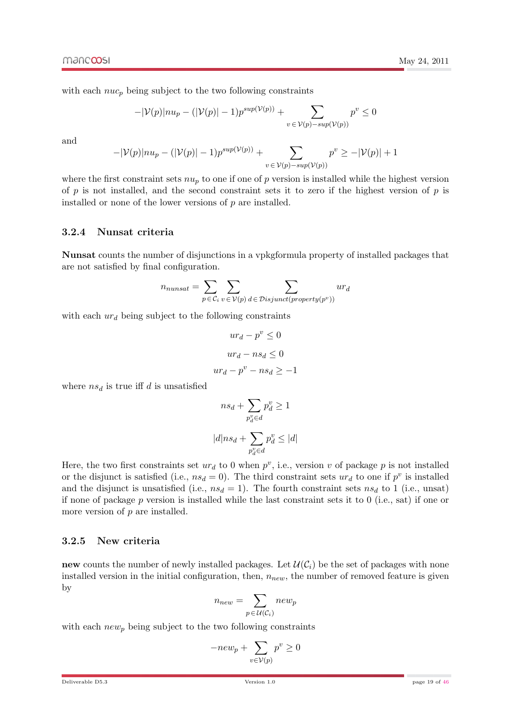with each  $nuc_p$  being subject to the two following constraints

$$
-|\mathcal{V}(p)|nu_p - (|\mathcal{V}(p)| - 1)p^{sup(\mathcal{V}(p))} + \sum_{v \in \mathcal{V}(p) - sup(\mathcal{V}(p))} p^v \le 0
$$

and

$$
-|\mathcal{V}(p)|nu_p - (|\mathcal{V}(p)| - 1)p^{sup(\mathcal{V}(p))} + \sum_{v \in \mathcal{V}(p) - sup(\mathcal{V}(p))} p^v \ge -|\mathcal{V}(p)| + 1
$$

where the first constraint sets  $nu_p$  to one if one of p version is installed while the highest version of  $p$  is not installed, and the second constraint sets it to zero if the highest version of  $p$  is installed or none of the lower versions of  $p$  are installed.

#### <span id="page-18-0"></span>3.2.4 Nunsat criteria

Nunsat counts the number of disjunctions in a vpkgformula property of installed packages that are not satisfied by final configuration.

$$
n_{nunsat} = \sum_{p \in C_i} \sum_{v \in V(p)} \sum_{d \in Disjunct(property(p^v))} ur_d
$$

with each  $ur<sub>d</sub>$  being subject to the following constraints

$$
ur_d - p^v \le 0
$$

$$
ur_d - ns_d \le 0
$$

$$
ur_d - p^v - ns_d \ge -1
$$

where  $ns_d$  is true iff d is unsatisfied

$$
ns_d + \sum_{p_d^v \in d} p_d^v \ge 1
$$
  

$$
|d|ns_d + \sum_{p_d^v \in d} p_d^v \le |d|
$$

Here, the two first constraints set  $ur_d$  to 0 when  $p^v$ , i.e., version v of package p is not installed or the disjunct is satisfied (i.e.,  $ns_d = 0$ ). The third constraint sets  $ur_d$  to one if  $p^v$  is installed and the disjunct is unsatisfied (i.e.,  $ns_d = 1$ ). The fourth constraint sets  $ns_d$  to 1 (i.e., unsat) if none of package  $p$  version is installed while the last constraint sets it to  $0$  (i.e., sat) if one or more version of  $p$  are installed.

#### <span id="page-18-1"></span>3.2.5 New criteria

new counts the number of newly installed packages. Let  $\mathcal{U}(\mathcal{C}_i)$  be the set of packages with none installed version in the initial configuration, then,  $n_{new}$ , the number of removed feature is given by

$$
n_{new} = \sum_{p \in \mathcal{U}(\mathcal{C}_i)} new_p
$$

with each  $new_p$  being subject to the two following constraints

$$
-new_p + \sum_{v \in \mathcal{V}(p)} p^v \ge 0
$$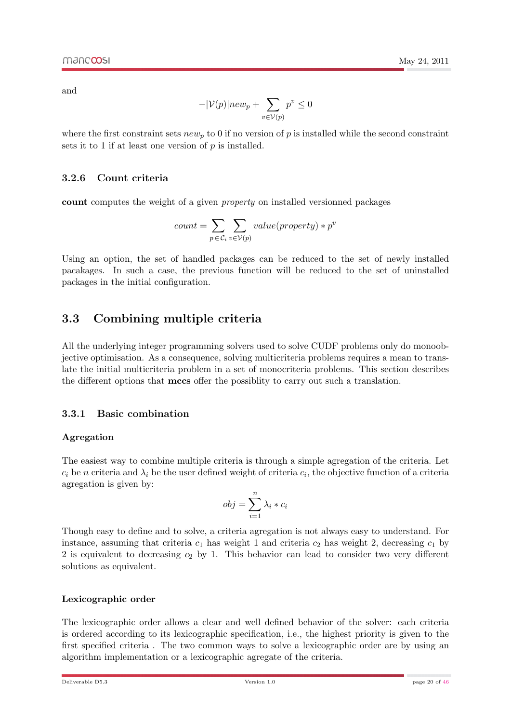and

$$
-|\mathcal{V}(p)|new_p + \sum_{v \in \mathcal{V}(p)} p^v \le 0
$$

May 24, 2011

where the first constraint sets  $new_p$  to 0 if no version of p is installed while the second constraint sets it to 1 if at least one version of  $p$  is installed.

#### <span id="page-19-0"></span>3.2.6 Count criteria

count computes the weight of a given property on installed versionned packages

$$
count = \sum_{p \in C_i} \sum_{v \in V(p)} value(property) * p^v
$$

Using an option, the set of handled packages can be reduced to the set of newly installed pacakages. In such a case, the previous function will be reduced to the set of uninstalled packages in the initial configuration.

### <span id="page-19-1"></span>3.3 Combining multiple criteria

All the underlying integer programming solvers used to solve CUDF problems only do monoobjective optimisation. As a consequence, solving multicriteria problems requires a mean to translate the initial multicriteria problem in a set of monocriteria problems. This section describes the different options that mccs offer the possiblity to carry out such a translation.

#### <span id="page-19-2"></span>3.3.1 Basic combination

#### Agregation

<span id="page-19-3"></span>The easiest way to combine multiple criteria is through a simple agregation of the criteria. Let  $c_i$  be n criteria and  $\lambda_i$  be the user defined weight of criteria  $c_i$ , the objective function of a criteria agregation is given by:

$$
obj = \sum_{i=1}^{n} \lambda_i * c_i
$$

Though easy to define and to solve, a criteria agregation is not always easy to understand. For instance, assuming that criteria  $c_1$  has weight 1 and criteria  $c_2$  has weight 2, decreasing  $c_1$  by 2 is equivalent to decreasing  $c_2$  by 1. This behavior can lead to consider two very different solutions as equivalent.

#### Lexicographic order

<span id="page-19-4"></span>The lexicographic order allows a clear and well defined behavior of the solver: each criteria is ordered according to its lexicographic specification, i.e., the highest priority is given to the first specified criteria . The two common ways to solve a lexicographic order are by using an algorithm implementation or a lexicographic agregate of the criteria.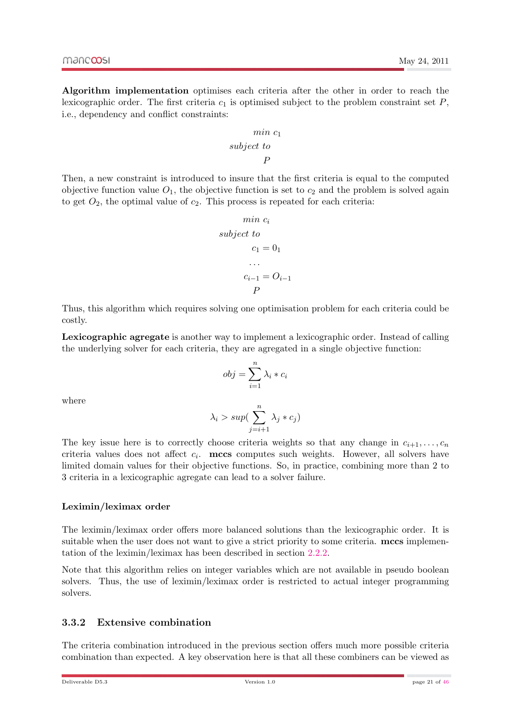Algorithm implementation optimises each criteria after the other in order to reach the lexicographic order. The first criteria  $c_1$  is optimised subject to the problem constraint set  $P$ , i.e., dependency and conflict constraints:

$$
\begin{array}{c}\nmin\ c_1 \\
subject \ to \\
P\n\end{array}
$$

Then, a new constraint is introduced to insure that the first criteria is equal to the computed objective function value  $O_1$ , the objective function is set to  $c_2$  and the problem is solved again to get  $O_2$ , the optimal value of  $c_2$ . This process is repeated for each criteria:

$$
min \ c_i
$$
\n
$$
subject \ to
$$
\n
$$
c_1 = 0_1
$$
\n
$$
\cdots
$$
\n
$$
c_{i-1} = O_{i-1}
$$
\n
$$
P
$$

Thus, this algorithm which requires solving one optimisation problem for each criteria could be costly.

Lexicographic agregate is another way to implement a lexicographic order. Instead of calling the underlying solver for each criteria, they are agregated in a single objective function:

$$
obj = \sum_{i=1}^{n} \lambda_i * c_i
$$

where

$$
\lambda_i > sup(\sum_{j=i+1}^n \lambda_j * c_j)
$$

The key issue here is to correctly choose criteria weights so that any change in  $c_{i+1}, \ldots, c_n$ criteria values does not affect  $c_i$ . mccs computes such weights. However, all solvers have limited domain values for their objective functions. So, in practice, combining more than 2 to 3 criteria in a lexicographic agregate can lead to a solver failure.

#### Leximin/leximax order

<span id="page-20-0"></span>The leximin/leximax order offers more balanced solutions than the lexicographic order. It is suitable when the user does not want to give a strict priority to some criteria. mccs implementation of the leximin/leximax has been described in section [2.2.2.](#page-14-0)

Note that this algorithm relies on integer variables which are not available in pseudo boolean solvers. Thus, the use of leximin/leximax order is restricted to actual integer programming solvers.

#### <span id="page-20-1"></span>3.3.2 Extensive combination

The criteria combination introduced in the previous section offers much more possible criteria combination than expected. A key observation here is that all these combiners can be viewed as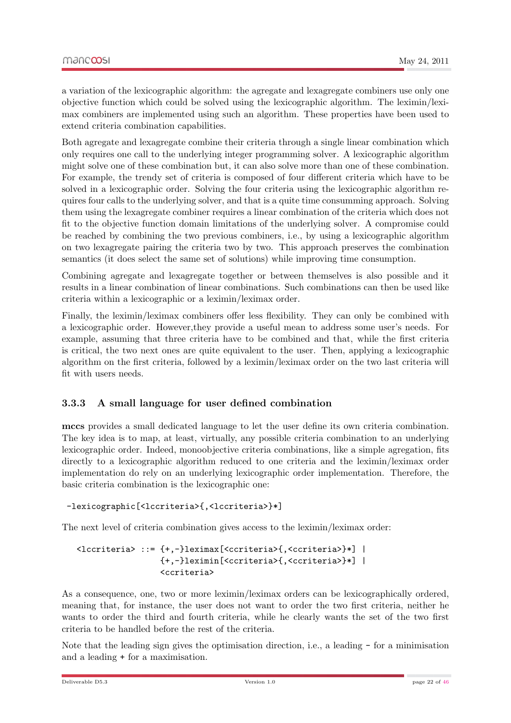a variation of the lexicographic algorithm: the agregate and lexagregate combiners use only one objective function which could be solved using the lexicographic algorithm. The leximin/leximax combiners are implemented using such an algorithm. These properties have been used to extend criteria combination capabilities.

Both agregate and lexagregate combine their criteria through a single linear combination which only requires one call to the underlying integer programming solver. A lexicographic algorithm might solve one of these combination but, it can also solve more than one of these combination. For example, the trendy set of criteria is composed of four different criteria which have to be solved in a lexicographic order. Solving the four criteria using the lexicographic algorithm requires four calls to the underlying solver, and that is a quite time consumming approach. Solving them using the lexagregate combiner requires a linear combination of the criteria which does not fit to the objective function domain limitations of the underlying solver. A compromise could be reached by combining the two previous combiners, i.e., by using a lexicographic algorithm on two lexagregate pairing the criteria two by two. This approach preserves the combination semantics (it does select the same set of solutions) while improving time consumption.

Combining agregate and lexagregate together or between themselves is also possible and it results in a linear combination of linear combinations. Such combinations can then be used like criteria within a lexicographic or a leximin/leximax order.

Finally, the leximin/leximax combiners offer less flexibility. They can only be combined with a lexicographic order. However,they provide a useful mean to address some user's needs. For example, assuming that three criteria have to be combined and that, while the first criteria is critical, the two next ones are quite equivalent to the user. Then, applying a lexicographic algorithm on the first criteria, followed by a leximin/leximax order on the two last criteria will fit with users needs.

#### <span id="page-21-0"></span>3.3.3 A small language for user defined combination

mccs provides a small dedicated language to let the user define its own criteria combination. The key idea is to map, at least, virtually, any possible criteria combination to an underlying lexicographic order. Indeed, monoobjective criteria combinations, like a simple agregation, fits directly to a lexicographic algorithm reduced to one criteria and the leximin/leximax order implementation do rely on an underlying lexicographic order implementation. Therefore, the basic criteria combination is the lexicographic one:

#### -lexicographic[<lccriteria>{,<lccriteria>}\*]

The next level of criteria combination gives access to the leximin/leximax order:

#### <lccriteria> ::= {+,-}leximax[<ccriteria>{,<ccriteria>}\*] | {+,-}leximin[<ccriteria>{,<ccriteria>}\*] | <ccriteria>

As a consequence, one, two or more leximin/leximax orders can be lexicographically ordered, meaning that, for instance, the user does not want to order the two first criteria, neither he wants to order the third and fourth criteria, while he clearly wants the set of the two first criteria to be handled before the rest of the criteria.

Note that the leading sign gives the optimisation direction, i.e., a leading - for a minimisation and a leading + for a maximisation.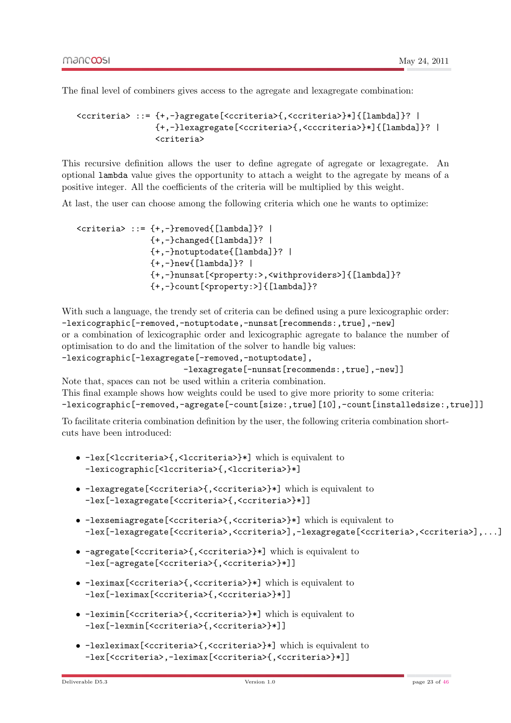The final level of combiners gives access to the agregate and lexagregate combination:

```
<ccriteria> ::= {+,-}agregate[<ccriteria>{,<ccriteria>}*]{[lambda]}? |
                {+,-}lexagregate[<ccriteria>{,<cccriteria>}*]{[lambda]}? |
                <criteria>
```
This recursive definition allows the user to define agregate of agregate or lexagregate. An optional lambda value gives the opportunity to attach a weight to the agregate by means of a positive integer. All the coefficients of the criteria will be multiplied by this weight.

At last, the user can choose among the following criteria which one he wants to optimize:

```
\langlecriteria> ::= {+,-}removed{[lambda]}? |
                \{+, -\}changed\{[lambda]\}? |
                {+,-}notuptodate{[lambda]}? |
                {+,-}new{[lambda]}? |
                {+,-}nunsat[<property:>,<withproviders>]{[lambda]}?
                {+,-}count[<property:>]{[lambda]}?
```
With such a language, the trendy set of criteria can be defined using a pure lexicographic order: -lexicographic[-removed,-notuptodate,-nunsat[recommends:,true],-new] or a combination of lexicographic order and lexicographic agregate to balance the number of optimisation to do and the limitation of the solver to handle big values: -lexicographic[-lexagregate[-removed,-notuptodate],

```
-lexagregate[-nunsat[recommends:,true],-new]]
```
Note that, spaces can not be used within a criteria combination.

This final example shows how weights could be used to give more priority to some criteria: -lexicographic[-removed,-agregate[-count[size:,true][10],-count[installedsize:,true]]]

To facilitate criteria combination definition by the user, the following criteria combination shortcuts have been introduced:

- -lex[<lccriteria>{,<lccriteria>}\*] which is equivalent to -lexicographic[<lccriteria>{,<lccriteria>}\*]
- -lexagregate[<ccriteria>{,<ccriteria>}\*] which is equivalent to -lex[-lexagregate[<ccriteria>{,<ccriteria>}\*]]
- -lexsemiagregate[<ccriteria>{,<ccriteria>}\*] which is equivalent to -lex[-lexagregate[<ccriteria>,<ccriteria>],-lexagregate[<ccriteria>,<ccriteria>],...]
- -agregate[<ccriteria>{,<ccriteria>}\*] which is equivalent to -lex[-agregate[<ccriteria>{,<ccriteria>}\*]]
- -leximax[<ccriteria>{,<ccriteria>}\*] which is equivalent to -lex[-leximax[<ccriteria>{,<ccriteria>}\*]]
- -leximin[<ccriteria>{,<ccriteria>}\*] which is equivalent to -lex[-lexmin[<ccriteria>{,<ccriteria>}\*]]
- -lexleximax[<ccriteria>{,<ccriteria>}\*] which is equivalent to -lex[<ccriteria>,-leximax[<ccriteria>{,<ccriteria>}\*]]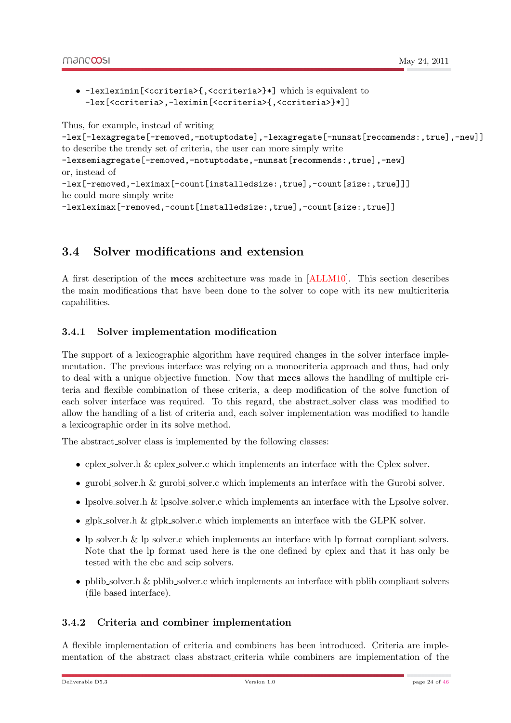• -lexleximin[<ccriteria>{,<ccriteria>}\*] which is equivalent to -lex[<ccriteria>,-leximin[<ccriteria>{,<ccriteria>}\*]]

Thus, for example, instead of writing

```
-lex[-lexagregate[-removed,-notuptodate],-lexagregate[-nunsat[recommends:,true],-new]]
to describe the trendy set of criteria, the user can more simply write
```

```
-lexsemiagregate[-removed,-notuptodate,-nunsat[recommends:,true],-new]
or, instead of
```

```
-lex[-removed,-leximax[-count[installedsize:,true],-count[size:,true]]]
he could more simply write
```
-lexleximax[-removed,-count[installedsize:,true],-count[size:,true]]

### <span id="page-23-0"></span>3.4 Solver modifications and extension

A first description of the mccs architecture was made in [\[ALLM10\]](#page-44-0). This section describes the main modifications that have been done to the solver to cope with its new multicriteria capabilities.

#### <span id="page-23-1"></span>3.4.1 Solver implementation modification

The support of a lexicographic algorithm have required changes in the solver interface implementation. The previous interface was relying on a monocriteria approach and thus, had only to deal with a unique objective function. Now that mccs allows the handling of multiple criteria and flexible combination of these criteria, a deep modification of the solve function of each solver interface was required. To this regard, the abstract solver class was modified to allow the handling of a list of criteria and, each solver implementation was modified to handle a lexicographic order in its solve method.

The abstract solver class is implemented by the following classes:

- cplex solver.h & cplex solver.c which implements an interface with the Cplex solver.
- gurobi solver.h & gurobi solver.c which implements an interface with the Gurobi solver.
- lpsolve\_solver.h & lpsolve\_solver.c which implements an interface with the Lpsolve solver.
- glpk solver.h & glpk solver.c which implements an interface with the GLPK solver.
- lp\_solver.h & lp\_solver.c which implements an interface with lp format compliant solvers. Note that the lp format used here is the one defined by cplex and that it has only be tested with the cbc and scip solvers.
- pblib solver.h & pblib solver.c which implements an interface with pblib compliant solvers (file based interface).

#### <span id="page-23-2"></span>3.4.2 Criteria and combiner implementation

A flexible implementation of criteria and combiners has been introduced. Criteria are implementation of the abstract class abstract criteria while combiners are implementation of the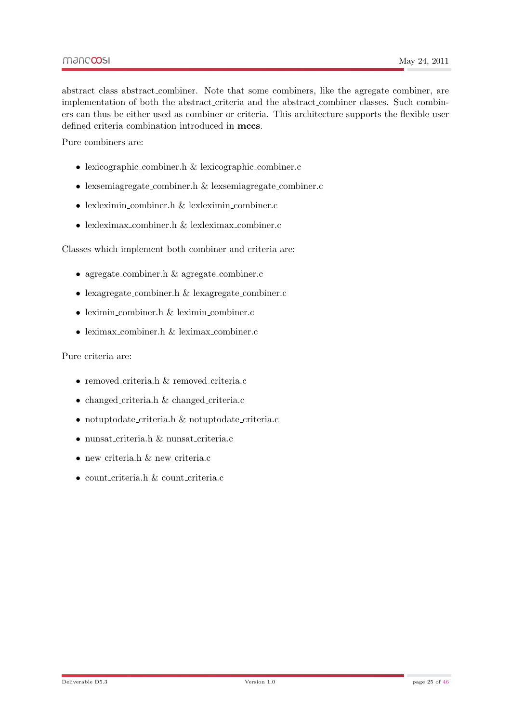abstract class abstract combiner. Note that some combiners, like the agregate combiner, are implementation of both the abstract criteria and the abstract combiner classes. Such combiners can thus be either used as combiner or criteria. This architecture supports the flexible user defined criteria combination introduced in mccs.

Pure combiners are:

- lexicographic combiner.h & lexicographic combiner.c
- lexsemiagregate combiner.h & lexsemiagregate combiner.c
- lexleximin\_combiner.h & lexleximin\_combiner.c
- lexleximax combiner.h & lexleximax combiner.c

Classes which implement both combiner and criteria are:

- agregate\_combiner.h & agregate\_combiner.c
- lexagregate\_combiner.h & lexagregate\_combiner.c
- leximin\_combiner.h & leximin\_combiner.c
- leximax combiner.h & leximax combiner.c

#### Pure criteria are:

- removed criteria.h & removed criteria.c
- changed criteria.h & changed criteria.c
- notuptodate criteria.h & notuptodate criteria.c
- nunsat criteria.h & nunsat criteria.c
- $\bullet$  new criteria.h  $\&$  new criteria.c
- count criteria.h & count criteria.c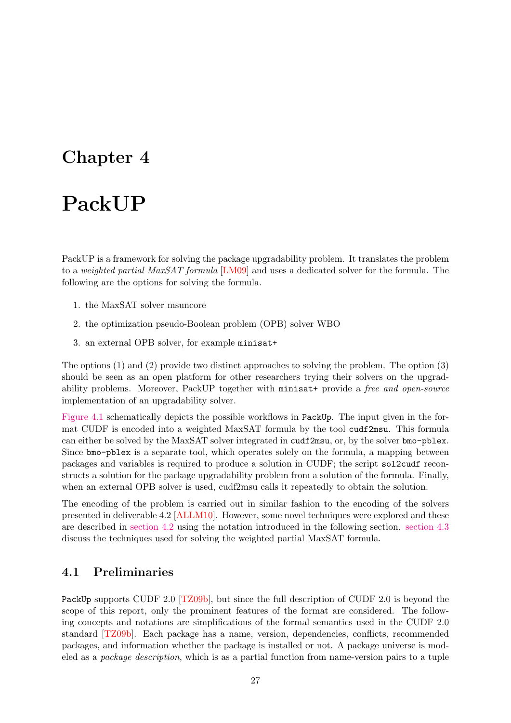## <span id="page-26-0"></span>Chapter 4

## PackUP

PackUP is a framework for solving the package upgradability problem. It translates the problem to a weighted partial MaxSAT formula [\[LM09\]](#page-44-4) and uses a dedicated solver for the formula. The following are the options for solving the formula.

- 1. the MaxSAT solver msuncore
- 2. the optimization pseudo-Boolean problem (OPB) solver WBO
- 3. an external OPB solver, for example minisat+

The options (1) and (2) provide two distinct approaches to solving the problem. The option (3) should be seen as an open platform for other researchers trying their solvers on the upgradability problems. Moreover, PackUP together with minisat+ provide a free and open-source implementation of an upgradability solver.

[Figure 4.1](#page-27-0) schematically depicts the possible workflows in PackUp. The input given in the format CUDF is encoded into a weighted MaxSAT formula by the tool cudf2msu. This formula can either be solved by the MaxSAT solver integrated in cudf2msu, or, by the solver bmo-pblex. Since bmo-pblex is a separate tool, which operates solely on the formula, a mapping between packages and variables is required to produce a solution in CUDF; the script sol2cudf reconstructs a solution for the package upgradability problem from a solution of the formula. Finally, when an external OPB solver is used, cudf2msu calls it repeatedly to obtain the solution.

The encoding of the problem is carried out in similar fashion to the encoding of the solvers presented in deliverable 4.2 [\[ALLM10\]](#page-44-0). However, some novel techniques were explored and these are described in [section 4.2](#page-28-0) using the notation introduced in the following section. [section 4.3](#page-30-0) discuss the techniques used for solving the weighted partial MaxSAT formula.

#### <span id="page-26-1"></span>4.1 Preliminaries

PackUp supports CUDF 2.0 [\[TZ09b\]](#page-45-4), but since the full description of CUDF 2.0 is beyond the scope of this report, only the prominent features of the format are considered. The following concepts and notations are simplifications of the formal semantics used in the CUDF 2.0 standard [\[TZ09b\]](#page-45-4). Each package has a name, version, dependencies, conflicts, recommended packages, and information whether the package is installed or not. A package universe is modeled as a package description, which is as a partial function from name-version pairs to a tuple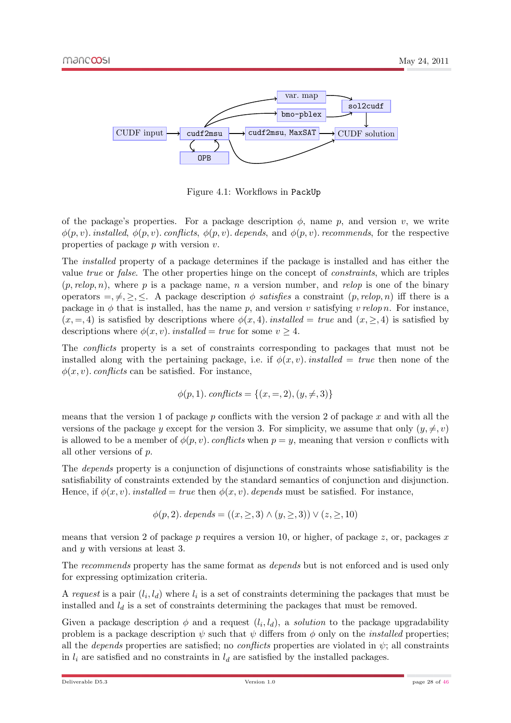

<span id="page-27-0"></span>Figure 4.1: Workflows in PackUp

of the package's properties. For a package description  $\phi$ , name p, and version v, we write  $\phi(p, v)$ . installed,  $\phi(p, v)$ . conflicts,  $\phi(p, v)$ . depends, and  $\phi(p, v)$ . recommends, for the respective properties of package  $p$  with version  $v$ .

The installed property of a package determines if the package is installed and has either the value true or false. The other properties hinge on the concept of constraints, which are triples  $(p,$  relop, n), where p is a package name, n a version number, and relop is one of the binary operators  $= \neq, \geq, \leq$ . A package description  $\phi$  satisfies a constraint  $(p,$  relop, n) iff there is a package in  $\phi$  that is installed, has the name p, and version v satisfying v relop n. For instance,  $(x, =, 4)$  is satisfied by descriptions where  $\phi(x, 4)$ . *installed* = true and  $(x, \ge 0, 4)$  is satisfied by descriptions where  $\phi(x, v)$ . installed = true for some  $v \geq 4$ .

The conflicts property is a set of constraints corresponding to packages that must not be installed along with the pertaining package, i.e. if  $\phi(x, y)$  installed = true then none of the  $\phi(x, v)$ . conflicts can be satisfied. For instance,

$$
\phi(p, 1). \text{ conflicts} = \{(x, =, 2), (y, \neq, 3)\}
$$

means that the version 1 of package  $p$  conflicts with the version 2 of package  $x$  and with all the versions of the package y except for the version 3. For simplicity, we assume that only  $(y, \neq, v)$ is allowed to be a member of  $\phi(p, v)$ . conflicts when  $p = y$ , meaning that version v conflicts with all other versions of p.

The depends property is a conjunction of disjunctions of constraints whose satisfiability is the satisfiability of constraints extended by the standard semantics of conjunction and disjunction. Hence, if  $\phi(x, v)$ . installed = true then  $\phi(x, v)$ . depends must be satisfied. For instance,

$$
\phi(p,2). depends = ((x, \geq, 3) \land (y, \geq, 3)) \lor (z, \geq, 10)
$$

means that version 2 of package  $p$  requires a version 10, or higher, of package  $z$ , or, packages  $x$ and y with versions at least 3.

The *recommends* property has the same format as *depends* but is not enforced and is used only for expressing optimization criteria.

A request is a pair  $(l_i, l_d)$  where  $l_i$  is a set of constraints determining the packages that must be installed and  $l_d$  is a set of constraints determining the packages that must be removed.

Given a package description  $\phi$  and a request  $(l_i, l_d)$ , a *solution* to the package upgradability problem is a package description  $\psi$  such that  $\psi$  differs from  $\phi$  only on the *installed* properties; all the *depends* properties are satisfied; no *conflicts* properties are violated in  $\psi$ ; all constraints in  $l_i$  are satisfied and no constraints in  $l_d$  are satisfied by the installed packages.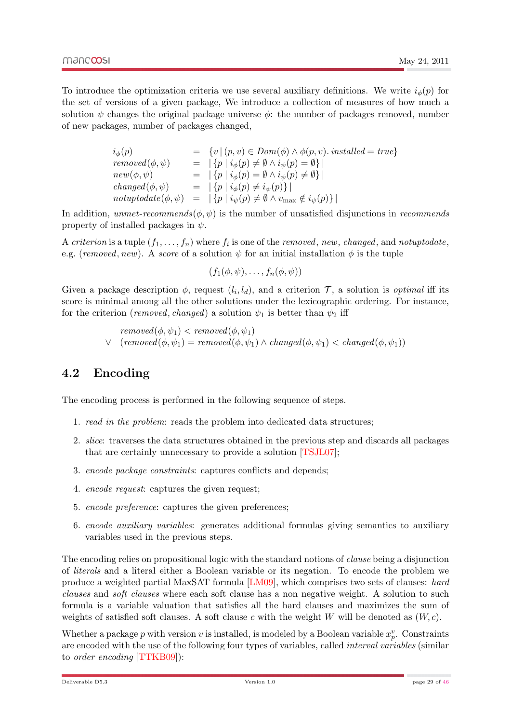To introduce the optimization criteria we use several auxiliary definitions. We write  $i_{\phi}(p)$  for the set of versions of a given package, We introduce a collection of measures of how much a solution  $\psi$  changes the original package universe  $\phi$ : the number of packages removed, number of new packages, number of packages changed,

| $i_{\phi}(p)$         | $= \{v \mid (p, v) \in Dom(\phi) \land \phi(p, v)$ . installed $= true\}$                              |
|-----------------------|--------------------------------------------------------------------------------------------------------|
| $removed(\phi, \psi)$ | $=   \{ p   i_{\phi}(p) \neq \emptyset \wedge i_{\psi}(p) = \emptyset \}  $                            |
| $new(\phi, \psi)$     | $=   \{ p \mid i_{\phi}(p) = \emptyset \wedge i_{\psi}(p) \neq \emptyset \}  $                         |
| $changed(\phi, \psi)$ | $=   \{ p \mid i_{\phi}(p) \neq i_{\psi}(p) \}  $                                                      |
|                       | notuptodate $(\phi, \psi) =  \{p \mid i_{\psi}(p) \neq \emptyset \land v_{\max} \notin i_{\psi}(p)\} $ |

In addition, unmet-recommends( $\phi, \psi$ ) is the number of unsatisfied disjunctions in recommends property of installed packages in  $\psi$ .

A criterion is a tuple  $(f_1, \ldots, f_n)$  where  $f_i$  is one of the removed, new, changed, and notuptodate, e.g. (removed, new). A score of a solution  $\psi$  for an initial installation  $\phi$  is the tuple

$$
(f_1(\phi,\psi),\ldots,f_n(\phi,\psi))
$$

Given a package description  $\phi$ , request  $(l_i, l_d)$ , and a criterion  $\mathcal{T}$ , a solution is *optimal* iff its score is minimal among all the other solutions under the lexicographic ordering. For instance, for the criterion (removed, changed) a solution  $\psi_1$  is better than  $\psi_2$  iff

> $removed(\phi, \psi_1) < removed(\phi, \psi_1)$  $∨$  (removed( $φ, ψ_1$ ) = removed( $φ, ψ_1$ ) ∧ changed( $φ, ψ_1$ ) < changed( $φ, ψ_1$ ))

### <span id="page-28-0"></span>4.2 Encoding

The encoding process is performed in the following sequence of steps.

- 1. read in the problem: reads the problem into dedicated data structures;
- 2. slice: traverses the data structures obtained in the previous step and discards all packages that are certainly unnecessary to provide a solution [\[TSJL07\]](#page-45-5);
- 3. encode package constraints: captures conflicts and depends:
- 4. encode request: captures the given request;
- 5. encode preference: captures the given preferences;
- 6. encode auxiliary variables: generates additional formulas giving semantics to auxiliary variables used in the previous steps.

The encoding relies on propositional logic with the standard notions of clause being a disjunction of literals and a literal either a Boolean variable or its negation. To encode the problem we produce a weighted partial MaxSAT formula [\[LM09\]](#page-44-4), which comprises two sets of clauses: hard clauses and soft clauses where each soft clause has a non negative weight. A solution to such formula is a variable valuation that satisfies all the hard clauses and maximizes the sum of weights of satisfied soft clauses. A soft clause c with the weight W will be denoted as  $(W, c)$ .

Whether a package p with version v is installed, is modeled by a Boolean variable  $x_p^v$ . Constraints are encoded with the use of the following four types of variables, called interval variables (similar to order encoding [\[TTKB09\]](#page-45-6)):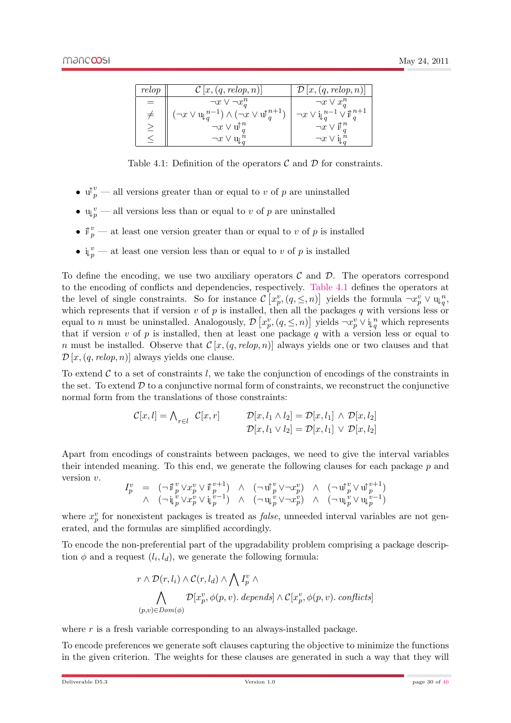| relop | $\mathcal{C}[x,(q, relop, n)]$                                                 | $\mathcal{D}[x,(q, relop, n)]$                                              |
|-------|--------------------------------------------------------------------------------|-----------------------------------------------------------------------------|
|       | $\neg x \vee \neg x_a^n$                                                       | $\neg x \vee x_a^n$                                                         |
|       | $(\neg x \vee \mathfrak{u}_{q}^{n-1}) \wedge (\neg x \vee \mathfrak{u}^{n+1})$ | $\neg x \vee \mathrm{i}_{\downarrow}{}^{n-1}_{q} \vee \mathrm{i}_{q}^{n+1}$ |
|       | $\neg x \vee \mathbf{u} \uparrow_a^n$                                          | $\neg x \vee \mathbf{i} \uparrow_a^n$                                       |
|       | $\neg x \vee u_{\alpha}^n$                                                     | $\neg x \vee \mathrm{i} \mathbb{I}^n$                                       |

<span id="page-29-0"></span>Table 4.1: Definition of the operators  $\mathcal C$  and  $\mathcal D$  for constraints.

- $\mathbf{u}^{\uparrow} v \longrightarrow$  all versions greater than or equal to v of p are uninstalled
- $\mathbf{u}_{p}^{v}$  all versions less than or equal to v of p are uninstalled
- if  $_p^v$  at least one version greater than or equal to v of p is installed
- $\mathbf{i}_{\downarrow p}^v$  at least one version less than or equal to v of p is installed

To define the encoding, we use two auxiliary operators  $\mathcal C$  and  $\mathcal D$ . The operators correspond to the encoding of conflicts and dependencies, respectively. [Table 4.1](#page-29-0) defines the operators at the level of single constraints. So for instance  $\mathcal{C}\left[x_p^v, (q, \leq, n)\right]$  yields the formula  $\neg x_p^v \vee \psi_q^n$ ,<br>which represents that if version *v* of *n* is installed then all the packages *a* with versions less or which represents that if version  $v$  of  $p$  is installed, then all the packages  $q$  with versions less or equal to *n* must be uninstalled. Analogously,  $\mathcal{D}\left[x_p^v, (q, \leq, n)\right]$  yields  $\neg x_p^v \vee \mathfrak{i}_q^n$  which represents that if version *n* of *n* is installed, then at least one package *g* with a version less or equal to that if version v of p is installed, then at least one package q with a version less or equal to n must be installed. Observe that  $C[x,(q, relop, n)]$  always yields one or two clauses and that  $\mathcal{D}[x,(q, relop, n)]$  always yields one clause.

To extend  $\mathcal C$  to a set of constraints l, we take the conjunction of encodings of the constraints in the set. To extend  $D$  to a conjunctive normal form of constraints, we reconstruct the conjunctive normal form from the translations of those constraints:

$$
\mathcal{C}[x,l] = \bigwedge_{r \in l} \mathcal{C}[x,r] \qquad \mathcal{D}[x,l_1 \wedge l_2] = \mathcal{D}[x,l_1] \wedge \mathcal{D}[x,l_2]
$$

$$
\mathcal{D}[x,l_1 \vee l_2] = \mathcal{D}[x,l_1] \vee \mathcal{D}[x,l_2]
$$

Apart from encodings of constraints between packages, we need to give the interval variables their intended meaning. To this end, we generate the following clauses for each package p and version v.

$$
I_p^v = (\neg \mathbf{i}_{p}^v \vee x_p^v \vee \mathbf{i}_{p}^{v+1}) \wedge (\neg \mathbf{u}_{p}^v \vee \neg x_p^v) \wedge (\neg \mathbf{u}_{p}^v \vee \mathbf{u}_{p}^{v+1})
$$
  
 
$$
\wedge (\neg \mathbf{i}_{p}^v \vee x_p^v \vee \mathbf{i}_{p}^{v-1}) \wedge (\neg \mathbf{u}_{p}^v \vee \neg x_p^v) \wedge (\neg \mathbf{u}_{p}^v \vee \mathbf{u}_{p}^{v-1})
$$

where  $x_p^v$  for nonexistent packages is treated as *false*, unneeded interval variables are not generated, and the formulas are simplified accordingly.

To encode the non-preferential part of the upgradability problem comprising a package description  $\phi$  and a request  $(l_i, l_d)$ , we generate the following formula:

$$
r \wedge \mathcal{D}(r, l_i) \wedge \mathcal{C}(r, l_d) \wedge \bigwedge I_p^v \wedge
$$
  

$$
\bigwedge_{(p,v) \in Dom(\phi)} \mathcal{D}[x_p^v, \phi(p, v). \text{ depends}] \wedge \mathcal{C}[x_p^v, \phi(p, v). \text{ conflicts}]
$$

where  $r$  is a fresh variable corresponding to an always-installed package.

To encode preferences we generate soft clauses capturing the objective to minimize the functions in the given criterion. The weights for these clauses are generated in such a way that they will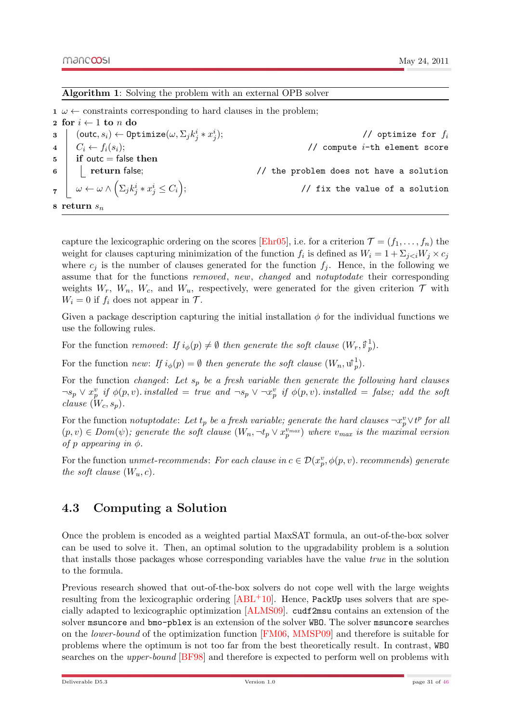#### Algorithm 1: Solving the problem with an external OPB solver

 $1 \omega \leftarrow$  constraints corresponding to hard clauses in the problem;

2 for  $i \leftarrow 1$  to n do  $\texttt{13} \quad \big| \quad (\textsf{outc}, s_i) \leftarrow \textsf{Optimize}(\omega, \Sigma_j k_j^i * x_j^i); \tag{\textit{10} } \label{11}$ 4  $C_i \leftarrow f_i(s_i);$  // compute  $i$ -th element score  $5 \mid \text{if outc} = \text{false then}$ 6 Teturn false;  $\frac{1}{2}$  return false;  $\frac{1}{2}$  return false;  $\begin{array}{rcl} \mathbf{z} & \left| & \omega \leftarrow \omega \wedge \left( \Sigma_j k_j^i * x_j^i \leq C_i \right); \end{array} \right. \hspace{2cm} \text{\hspace{1cm}} \text{\hspace{1cm}} \text{\hspace{1cm}} \text{\hspace{1cm}} \text{\hspace{1cm}} \text{\hspace{1cm}} \text{\hspace{1cm}} \text{\hspace{1cm}} \text{\hspace{1cm}} \text{\hspace{1cm}} \text{\hspace{1cm}} \text{\hspace{1cm}} \text{\hspace{1cm}} \text{\hspace{1cm}} \text{\hspace{1cm}} \text{\hspace{1cm}} \text{\hspace{1cm}}$ 8 return  $s_n$ 

capture the lexicographic ordering on the scores [\[Ehr05\]](#page-44-5), i.e. for a criterion  $\mathcal{T} = (f_1, \ldots, f_n)$  the weight for clauses capturing minimization of the function  $f_i$  is defined as  $W_i = 1 + \sum_{j < i} W_j \times c_j$ where  $c_j$  is the number of clauses generated for the function  $f_j$ . Hence, in the following we assume that for the functions *removed*, *new*, *changed* and *notuptodate* their corresponding weights  $W_r$ ,  $W_n$ ,  $W_c$ , and  $W_u$ , respectively, were generated for the given criterion  $\mathcal T$  with  $W_i = 0$  if  $f_i$  does not appear in  $\mathcal{T}$ .

Given a package description capturing the initial installation  $\phi$  for the individual functions we use the following rules.

For the function removed: If  $i_{\phi}(p) \neq \emptyset$  then generate the soft clause  $(W_r, \mathbb{I}_p^1)$ .

For the function *new:* If  $i_{\phi}(p) = \emptyset$  then generate the soft clause  $(W_n, \mathbf{u}_p^1)$ .

For the function changed: Let  $s_p$  be a fresh variable then generate the following hard clauses  $\neg s_p \vee x_p^v$  if  $\phi(p, v)$ . installed = true and  $\neg s_p \vee \neg x_p^v$  if  $\phi(p, v)$ . installed = false; add the soft clause  $(W_c, s_p)$ .

For the function *notuptodate:* Let  $t_p$  be a fresh variable; generate the hard clauses  $\neg x_p^v \vee t^p$  for all  $(p, v) \in Dom(\psi)$ ; generate the soft clause  $(W_n, \neg t_p \lor x_p^{v_{max}})$  where  $v_{max}$  is the maximal version of p appearing in  $\phi$ .

For the function unmet-recommends: For each clause in  $c \in \mathcal{D}(x_p^v, \phi(p, v)$ . recommends) generate the soft clause  $(W_u, c)$ .

#### <span id="page-30-0"></span>4.3 Computing a Solution

<span id="page-30-1"></span>Once the problem is encoded as a weighted partial MaxSAT formula, an out-of-the-box solver can be used to solve it. Then, an optimal solution to the upgradability problem is a solution that installs those packages whose corresponding variables have the value true in the solution to the formula.

Previous research showed that out-of-the-box solvers do not cope well with the large weights resulting from the lexicographic ordering  $[ABL+10]$  $[ABL+10]$ . Hence, PackUp uses solvers that are specially adapted to lexicographic optimization [\[ALMS09\]](#page-44-7). cudf2msu contains an extension of the solver msuncore and bmo-pblex is an extension of the solver WBO. The solver msuncore searches on the lower-bound of the optimization function [\[FM06,](#page-44-8) [MMSP09\]](#page-44-9) and therefore is suitable for problems where the optimum is not too far from the best theoretically result. In contrast, WBO searches on the upper-bound [\[BF98\]](#page-44-10) and therefore is expected to perform well on problems with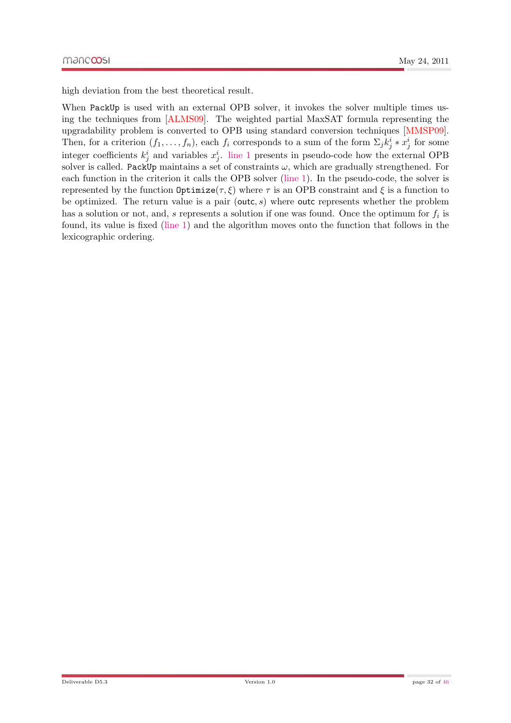high deviation from the best theoretical result.

When PackUp is used with an external OPB solver, it invokes the solver multiple times using the techniques from [\[ALMS09\]](#page-44-7). The weighted partial MaxSAT formula representing the upgradability problem is converted to OPB using standard conversion techniques [\[MMSP09\]](#page-44-9). Then, for a criterion  $(f_1, \ldots, f_n)$ , each  $f_i$  corresponds to a sum of the form  $\Sigma_j k_j^i * x_j^i$  for some integer coefficients  $k_j^i$  and variables  $x_j^i$ . [line 1](#page-30-1) presents in pseudo-code how the external OPB solver is called. PackUp maintains a set of constraints  $\omega$ , which are gradually strengthened. For each function in the criterion it calls the OPB solver [\(line 1\)](#page-30-1). In the pseudo-code, the solver is represented by the function  $\text{Optimize}(\tau, \xi)$  where  $\tau$  is an OPB constraint and  $\xi$  is a function to be optimized. The return value is a pair (outc, s) where outc represents whether the problem has a solution or not, and, s represents a solution if one was found. Once the optimum for  $f_i$  is found, its value is fixed [\(line 1\)](#page-30-1) and the algorithm moves onto the function that follows in the lexicographic ordering.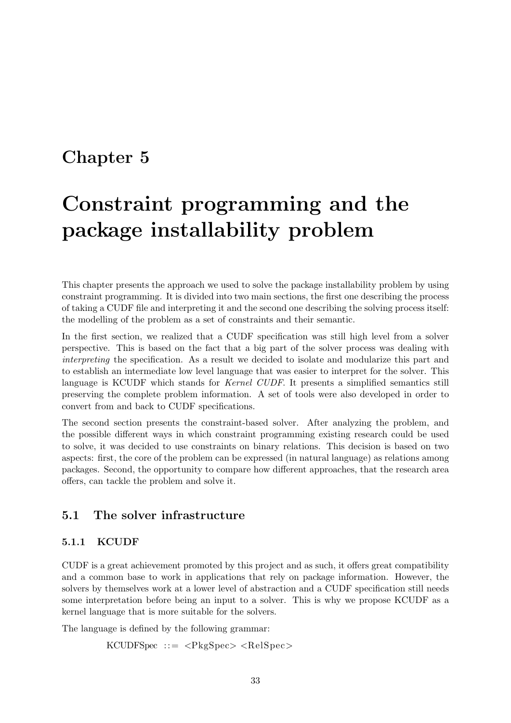## <span id="page-32-0"></span>Chapter 5

# Constraint programming and the package installability problem

This chapter presents the approach we used to solve the package installability problem by using constraint programming. It is divided into two main sections, the first one describing the process of taking a CUDF file and interpreting it and the second one describing the solving process itself: the modelling of the problem as a set of constraints and their semantic.

In the first section, we realized that a CUDF specification was still high level from a solver perspective. This is based on the fact that a big part of the solver process was dealing with interpreting the specification. As a result we decided to isolate and modularize this part and to establish an intermediate low level language that was easier to interpret for the solver. This language is KCUDF which stands for Kernel CUDF. It presents a simplified semantics still preserving the complete problem information. A set of tools were also developed in order to convert from and back to CUDF specifications.

The second section presents the constraint-based solver. After analyzing the problem, and the possible different ways in which constraint programming existing research could be used to solve, it was decided to use constraints on binary relations. This decision is based on two aspects: first, the core of the problem can be expressed (in natural language) as relations among packages. Second, the opportunity to compare how different approaches, that the research area offers, can tackle the problem and solve it.

### <span id="page-32-1"></span>5.1 The solver infrastructure

#### <span id="page-32-2"></span>5.1.1 KCUDF

CUDF is a great achievement promoted by this project and as such, it offers great compatibility and a common base to work in applications that rely on package information. However, the solvers by themselves work at a lower level of abstraction and a CUDF specification still needs some interpretation before being an input to a solver. This is why we propose KCUDF as a kernel language that is more suitable for the solvers.

The language is defined by the following grammar:

 $KCUDFSpec ::=$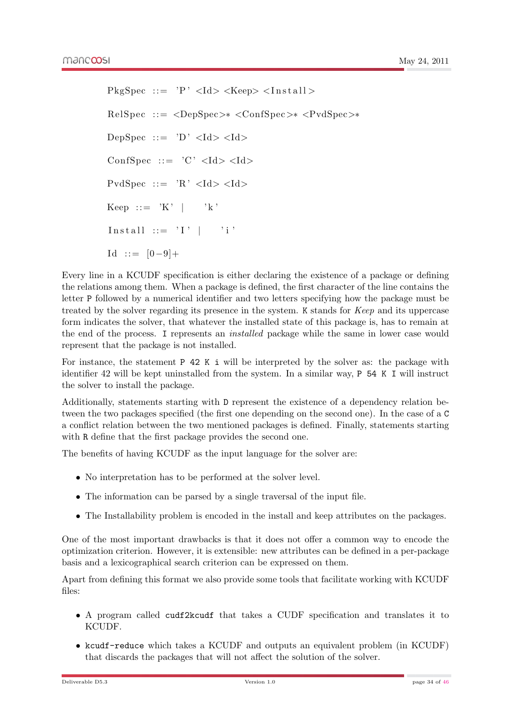PkgSpec ::= 'P'  $\langle$ Id>  $\langle$ Keep>  $\langle$ Install> RelSpec ::= <DepSpec>∗ <ConfSpec>∗ <PvdSpec>∗ DepSpec ::= 'D'  $\langle \text{Id} \rangle \langle \text{Id} \rangle$ ConfSpec ::= 'C'  $\langle \text{Id} \rangle \langle \text{Id} \rangle$ PvdSpec ::= 'R'  $\langle \text{Id} \rangle \langle \text{Id} \rangle$ Keep ::=  $'K'$  |  $'k'$ Install  $::= 'I' | 'i'$ Id ::=  $[0-9]+$ 

Every line in a KCUDF specification is either declaring the existence of a package or defining the relations among them. When a package is defined, the first character of the line contains the letter P followed by a numerical identifier and two letters specifying how the package must be treated by the solver regarding its presence in the system. K stands for Keep and its uppercase form indicates the solver, that whatever the installed state of this package is, has to remain at the end of the process. I represents an installed package while the same in lower case would represent that the package is not installed.

For instance, the statement P 42 K i will be interpreted by the solver as: the package with identifier 42 will be kept uninstalled from the system. In a similar way, P 54 K I will instruct the solver to install the package.

Additionally, statements starting with D represent the existence of a dependency relation between the two packages specified (the first one depending on the second one). In the case of a C a conflict relation between the two mentioned packages is defined. Finally, statements starting with R define that the first package provides the second one.

The benefits of having KCUDF as the input language for the solver are:

- No interpretation has to be performed at the solver level.
- The information can be parsed by a single traversal of the input file.
- The Installability problem is encoded in the install and keep attributes on the packages.

One of the most important drawbacks is that it does not offer a common way to encode the optimization criterion. However, it is extensible: new attributes can be defined in a per-package basis and a lexicographical search criterion can be expressed on them.

Apart from defining this format we also provide some tools that facilitate working with KCUDF files:

- A program called cudf2kcudf that takes a CUDF specification and translates it to KCUDF.
- kcudf-reduce which takes a KCUDF and outputs an equivalent problem (in KCUDF) that discards the packages that will not affect the solution of the solver.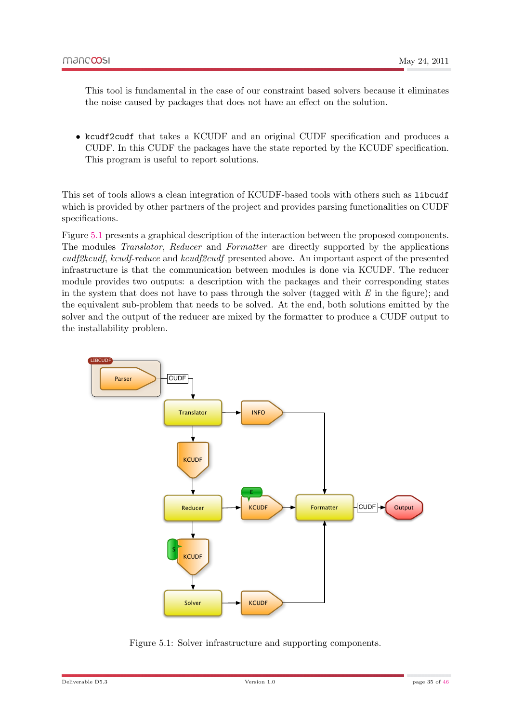This tool is fundamental in the case of our constraint based solvers because it eliminates the noise caused by packages that does not have an effect on the solution.

• kcudf2cudf that takes a KCUDF and an original CUDF specification and produces a CUDF. In this CUDF the packages have the state reported by the KCUDF specification. This program is useful to report solutions.

This set of tools allows a clean integration of KCUDF-based tools with others such as libcudf which is provided by other partners of the project and provides parsing functionalities on CUDF specifications.

Figure [5.1](#page-34-0) presents a graphical description of the interaction between the proposed components. The modules Translator, Reducer and Formatter are directly supported by the applications cudf2kcudf, kcudf-reduce and kcudf2cudf presented above. An important aspect of the presented infrastructure is that the communication between modules is done via KCUDF. The reducer module provides two outputs: a description with the packages and their corresponding states in the system that does not have to pass through the solver (tagged with  $E$  in the figure); and the equivalent sub-problem that needs to be solved. At the end, both solutions emitted by the solver and the output of the reducer are mixed by the formatter to produce a CUDF output to the installability problem.



<span id="page-34-0"></span>Figure 5.1: Solver infrastructure and supporting components.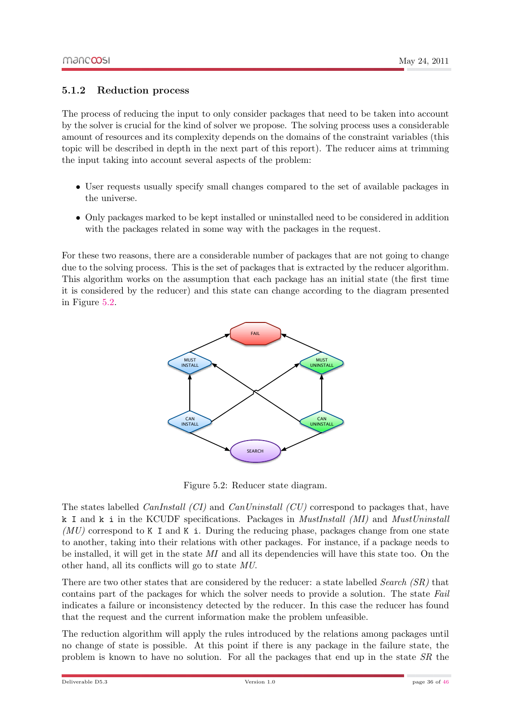#### <span id="page-35-0"></span>5.1.2 Reduction process

The process of reducing the input to only consider packages that need to be taken into account by the solver is crucial for the kind of solver we propose. The solving process uses a considerable amount of resources and its complexity depends on the domains of the constraint variables (this topic will be described in depth in the next part of this report). The reducer aims at trimming the input taking into account several aspects of the problem:

- User requests usually specify small changes compared to the set of available packages in the universe.
- Only packages marked to be kept installed or uninstalled need to be considered in addition with the packages related in some way with the packages in the request.

For these two reasons, there are a considerable number of packages that are not going to change due to the solving process. This is the set of packages that is extracted by the reducer algorithm. This algorithm works on the assumption that each package has an initial state (the first time it is considered by the reducer) and this state can change according to the diagram presented in Figure [5.2.](#page-35-1)



<span id="page-35-1"></span>Figure 5.2: Reducer state diagram.

The states labelled *CanInstall (CI)* and *CanUninstall (CU)* correspond to packages that, have k I and k i in the KCUDF specifications. Packages in *MustInstall (MI)* and *MustUninstall*  $(MU)$  correspond to K I and K i. During the reducing phase, packages change from one state to another, taking into their relations with other packages. For instance, if a package needs to be installed, it will get in the state MI and all its dependencies will have this state too. On the other hand, all its conflicts will go to state MU.

There are two other states that are considered by the reducer: a state labelled Search (SR) that contains part of the packages for which the solver needs to provide a solution. The state Fail indicates a failure or inconsistency detected by the reducer. In this case the reducer has found that the request and the current information make the problem unfeasible.

The reduction algorithm will apply the rules introduced by the relations among packages until no change of state is possible. At this point if there is any package in the failure state, the problem is known to have no solution. For all the packages that end up in the state SR the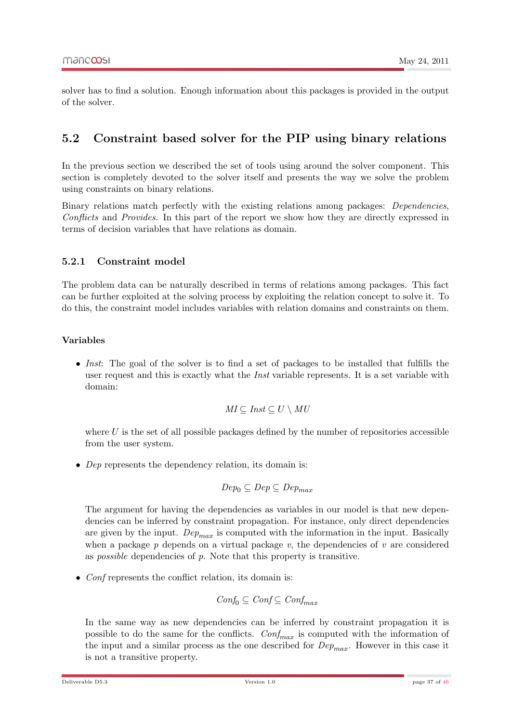solver has to find a solution. Enough information about this packages is provided in the output of the solver.

### <span id="page-36-0"></span>5.2 Constraint based solver for the PIP using binary relations

In the previous section we described the set of tools using around the solver component. This section is completely devoted to the solver itself and presents the way we solve the problem using constraints on binary relations.

Binary relations match perfectly with the existing relations among packages: Dependencies, Conflicts and Provides. In this part of the report we show how they are directly expressed in terms of decision variables that have relations as domain.

#### <span id="page-36-1"></span>5.2.1 Constraint model

The problem data can be naturally described in terms of relations among packages. This fact can be further exploited at the solving process by exploiting the relation concept to solve it. To do this, the constraint model includes variables with relation domains and constraints on them.

#### <span id="page-36-2"></span>Variables

• Inst: The goal of the solver is to find a set of packages to be installed that fulfills the user request and this is exactly what the *Inst* variable represents. It is a set variable with domain:

$$
MI \subseteq Inst \subseteq U \setminus MU
$$

where  $U$  is the set of all possible packages defined by the number of repositories accessible from the user system.

• Dep represents the dependency relation, its domain is:

$$
Dep_0\subseteq Dep\subseteq Dep_{max}
$$

The argument for having the dependencies as variables in our model is that new dependencies can be inferred by constraint propagation. For instance, only direct dependencies are given by the input.  $Dep_{max}$  is computed with the information in the input. Basically when a package  $p$  depends on a virtual package  $v$ , the dependencies of  $v$  are considered as *possible* dependencies of  $p$ . Note that this property is transitive.

• Conf represents the conflict relation, its domain is:

$$
\mathit{Conf}_0 \subseteq \mathit{Conf} \subseteq \mathit{Conf}_{\max}
$$

In the same way as new dependencies can be inferred by constraint propagation it is possible to do the same for the conflicts.  $Conf_{max}$  is computed with the information of the input and a similar process as the one described for  $Dep_{max}$ . However in this case it is not a transitive property.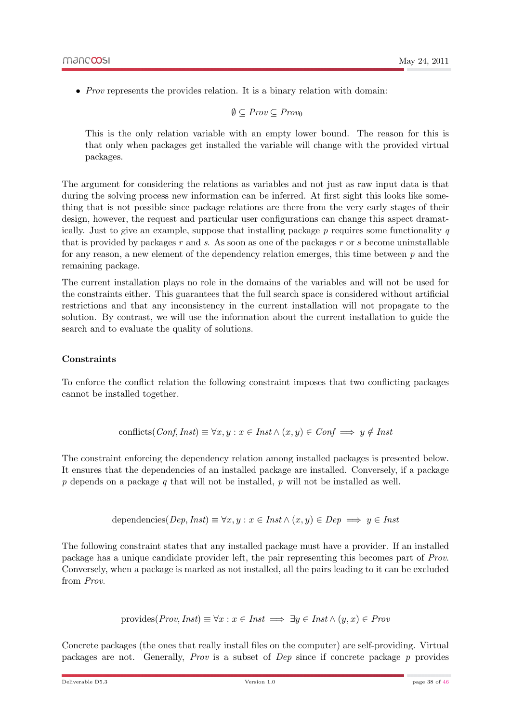• Prov represents the provides relation. It is a binary relation with domain:

$$
\emptyset \subseteq \mathit{Prov} \subseteq \mathit{Prov}_0
$$

This is the only relation variable with an empty lower bound. The reason for this is that only when packages get installed the variable will change with the provided virtual packages.

The argument for considering the relations as variables and not just as raw input data is that during the solving process new information can be inferred. At first sight this looks like something that is not possible since package relations are there from the very early stages of their design, however, the request and particular user configurations can change this aspect dramatically. Just to give an example, suppose that installing package  $p$  requires some functionality  $q$ that is provided by packages r and s. As soon as one of the packages r or s become uninstallable for any reason, a new element of the dependency relation emerges, this time between  $p$  and the remaining package.

The current installation plays no role in the domains of the variables and will not be used for the constraints either. This guarantees that the full search space is considered without artificial restrictions and that any inconsistency in the current installation will not propagate to the solution. By contrast, we will use the information about the current installation to guide the search and to evaluate the quality of solutions.

#### **Constraints**

<span id="page-37-0"></span>To enforce the conflict relation the following constraint imposes that two conflicting packages cannot be installed together.

conflicts(*Conf*, *Inst*) 
$$
\equiv \forall x, y : x \in Inst \land (x, y) \in Conf \implies y \notin Inst
$$

The constraint enforcing the dependency relation among installed packages is presented below. It ensures that the dependencies of an installed package are installed. Conversely, if a package  $p$  depends on a package  $q$  that will not be installed,  $p$  will not be installed as well.

$$
dependence(Dep, Inst) \equiv \forall x, y : x \in Inst \land (x, y) \in Dep \implies y \in Inst
$$

The following constraint states that any installed package must have a provider. If an installed package has a unique candidate provider left, the pair representing this becomes part of Prov. Conversely, when a package is marked as not installed, all the pairs leading to it can be excluded from Prov.

$$
provides (Prov, Inst) \equiv \forall x : x \in Inst \implies \exists y \in Inst \land (y, x) \in Prov
$$

Concrete packages (the ones that really install files on the computer) are self-providing. Virtual packages are not. Generally, Prov is a subset of Dep since if concrete package p provides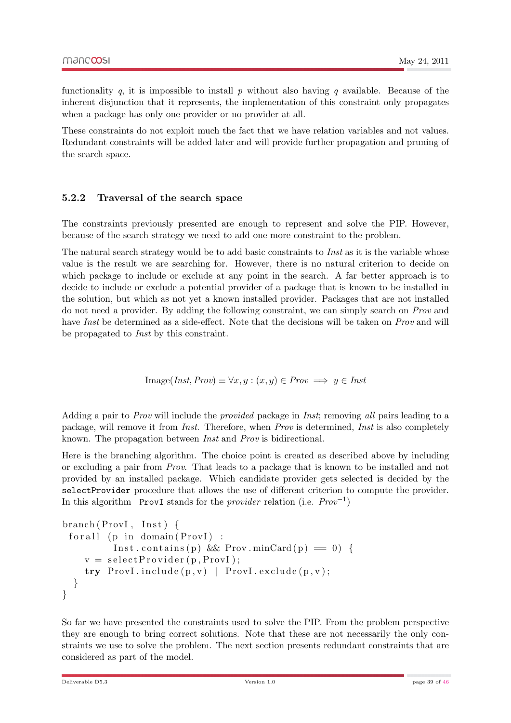functionality q, it is impossible to install p without also having q available. Because of the inherent disjunction that it represents, the implementation of this constraint only propagates when a package has only one provider or no provider at all.

These constraints do not exploit much the fact that we have relation variables and not values. Redundant constraints will be added later and will provide further propagation and pruning of the search space.

#### <span id="page-38-0"></span>5.2.2 Traversal of the search space

The constraints previously presented are enough to represent and solve the PIP. However, because of the search strategy we need to add one more constraint to the problem.

The natural search strategy would be to add basic constraints to *Inst* as it is the variable whose value is the result we are searching for. However, there is no natural criterion to decide on which package to include or exclude at any point in the search. A far better approach is to decide to include or exclude a potential provider of a package that is known to be installed in the solution, but which as not yet a known installed provider. Packages that are not installed do not need a provider. By adding the following constraint, we can simply search on Prov and have Inst be determined as a side-effect. Note that the decisions will be taken on Prov and will be propagated to Inst by this constraint.

$$
Image(Inst, Prov) \equiv \forall x, y : (x, y) \in Prov \implies y \in Inst
$$

Adding a pair to *Prov* will include the *provided* package in *Inst*; removing all pairs leading to a package, will remove it from Inst. Therefore, when Prov is determined, Inst is also completely known. The propagation between Inst and Prov is bidirectional.

Here is the branching algorithm. The choice point is created as described above by including or excluding a pair from Prov. That leads to a package that is known to be installed and not provided by an installed package. Which candidate provider gets selected is decided by the selectProvider procedure that allows the use of different criterion to compute the provider. In this algorithm ProvI stands for the *provider* relation (i.e.  $Prov^{-1}$ )

```
branch (ProvI, Inst)for all (p in domain (P_{\text{rov}}) :
           Inst. contains (p) & Prov. minCard (p) = 0 {
     v = select<mark>Provider(p, ProvI);</mark>
     try \; Provl. \; include(p,v) \; | \; Provl. \; exclude(p,v);}
}
```
So far we have presented the constraints used to solve the PIP. From the problem perspective they are enough to bring correct solutions. Note that these are not necessarily the only constraints we use to solve the problem. The next section presents redundant constraints that are considered as part of the model.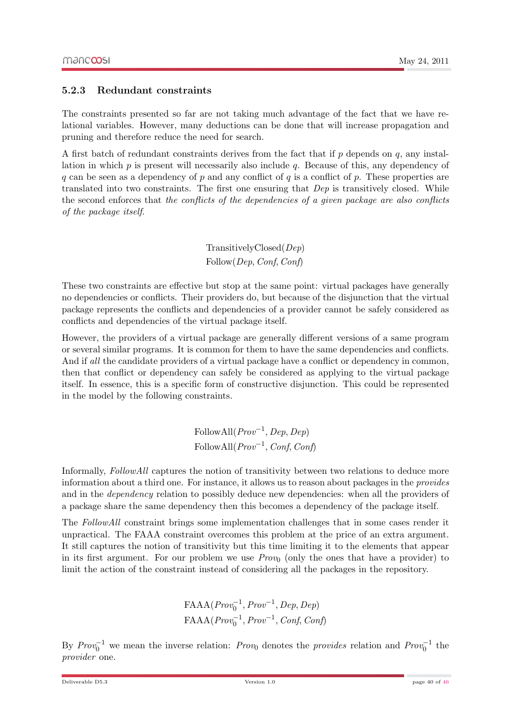#### <span id="page-39-0"></span>5.2.3 Redundant constraints

The constraints presented so far are not taking much advantage of the fact that we have relational variables. However, many deductions can be done that will increase propagation and pruning and therefore reduce the need for search.

A first batch of redundant constraints derives from the fact that if  $p$  depends on  $q$ , any installation in which  $p$  is present will necessarily also include  $q$ . Because of this, any dependency of q can be seen as a dependency of p and any conflict of q is a conflict of p. These properties are translated into two constraints. The first one ensuring that Dep is transitively closed. While the second enforces that the conflicts of the dependencies of a given package are also conflicts of the package itself.

> TransitivelyClosed(Dep) Follow(Dep, Conf, Conf)

These two constraints are effective but stop at the same point: virtual packages have generally no dependencies or conflicts. Their providers do, but because of the disjunction that the virtual package represents the conflicts and dependencies of a provider cannot be safely considered as conflicts and dependencies of the virtual package itself.

However, the providers of a virtual package are generally different versions of a same program or several similar programs. It is common for them to have the same dependencies and conflicts. And if all the candidate providers of a virtual package have a conflict or dependency in common, then that conflict or dependency can safely be considered as applying to the virtual package itself. In essence, this is a specific form of constructive disjunction. This could be represented in the model by the following constraints.

> $\text{FollowAll}(Prov^{-1}, Dep, Dep)$ FollowAll $(Prov^{-1}, Conf, Conf)$

Informally, FollowAll captures the notion of transitivity between two relations to deduce more information about a third one. For instance, it allows us to reason about packages in the provides and in the *dependency* relation to possibly deduce new dependencies: when all the providers of a package share the same dependency then this becomes a dependency of the package itself.

The FollowAll constraint brings some implementation challenges that in some cases render it unpractical. The FAAA constraint overcomes this problem at the price of an extra argument. It still captures the notion of transitivity but this time limiting it to the elements that appear in its first argument. For our problem we use  $Prov_0$  (only the ones that have a provider) to limit the action of the constraint instead of considering all the packages in the repository.

> $FAAA(Prow_0^{-1}, Prov^{-1}, Dep, Dep)$  $FAAA(Prow_0^{-1}, Prov^{-1}, Conf, Conf)$

By  $Prov_0^{-1}$  we mean the inverse relation: Prov<sub>0</sub> denotes the provides relation and Prov<sub>0</sub><sup>-1</sup> the provider one.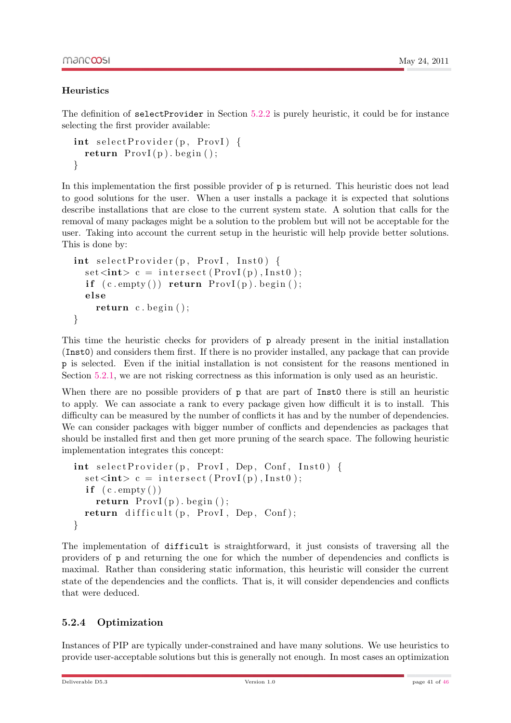#### **Heuristics**

<span id="page-40-0"></span>The definition of selectProvider in Section [5.2.2](#page-38-0) is purely heuristic, it could be for instance selecting the first provider available:

```
\text{int} \ \text{selectProvider} \left( p, \ \text{ProvI} \right) \ \{return ProvI(p). begin ();
}
```
In this implementation the first possible provider of p is returned. This heuristic does not lead to good solutions for the user. When a user installs a package it is expected that solutions describe installations that are close to the current system state. A solution that calls for the removal of many packages might be a solution to the problem but will not be acceptable for the user. Taking into account the current setup in the heuristic will help provide better solutions. This is done by:

```
\text{int} \ \text{selectProvider} \left( \mathbf{p}, \ \text{ProvI}, \ \text{Inst0} \right) \ \{set <int> c = intersect (ProvI(p), Inst0);
   if (c . empty()) return ProvI(p) . begin ();else
      return c \cdot \text{begin}();
}
```
This time the heuristic checks for providers of p already present in the initial installation (Inst0) and considers them first. If there is no provider installed, any package that can provide p is selected. Even if the initial installation is not consistent for the reasons mentioned in Section [5.2.1,](#page-36-2) we are not risking correctness as this information is only used as an heuristic.

When there are no possible providers of **p** that are part of Inst0 there is still an heuristic to apply. We can associate a rank to every package given how difficult it is to install. This difficulty can be measured by the number of conflicts it has and by the number of dependencies. We can consider packages with bigger number of conflicts and dependencies as packages that should be installed first and then get more pruning of the search space. The following heuristic implementation integrates this concept:

```
\int int select Provider (p, ProvI, Dep, Conf, Inst0) {
  set\langle int \rangle c = intersect(ProvI(p), Inst0);if ( c . empty () )return ProvI(p). begin ();
  return difficult (p, Provl, Dep, Conf);}
```
The implementation of difficult is straightforward, it just consists of traversing all the providers of p and returning the one for which the number of dependencies and conflicts is maximal. Rather than considering static information, this heuristic will consider the current state of the dependencies and the conflicts. That is, it will consider dependencies and conflicts that were deduced.

### <span id="page-40-1"></span>5.2.4 Optimization

Instances of PIP are typically under-constrained and have many solutions. We use heuristics to provide user-acceptable solutions but this is generally not enough. In most cases an optimization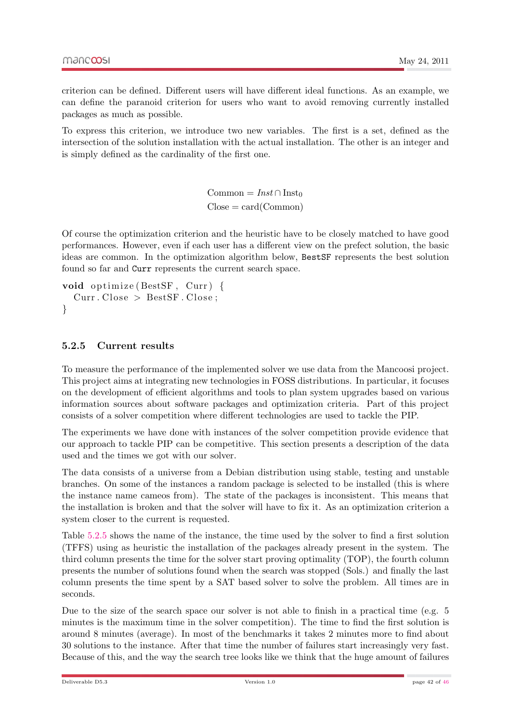criterion can be defined. Different users will have different ideal functions. As an example, we can define the paranoid criterion for users who want to avoid removing currently installed packages as much as possible.

To express this criterion, we introduce two new variables. The first is a set, defined as the intersection of the solution installation with the actual installation. The other is an integer and is simply defined as the cardinality of the first one.

> Common =  $Inst \cap Inst_0$  $Close = card(Common)$

Of course the optimization criterion and the heuristic have to be closely matched to have good performances. However, even if each user has a different view on the prefect solution, the basic ideas are common. In the optimization algorithm below, BestSF represents the best solution found so far and Curr represents the current search space.

```
void optimize (BestSF, Curr) {
  Curr. Close > BestSF. Close ;}
```
#### <span id="page-41-0"></span>5.2.5 Current results

To measure the performance of the implemented solver we use data from the Mancoosi project. This project aims at integrating new technologies in FOSS distributions. In particular, it focuses on the development of efficient algorithms and tools to plan system upgrades based on various information sources about software packages and optimization criteria. Part of this project consists of a solver competition where different technologies are used to tackle the PIP.

The experiments we have done with instances of the solver competition provide evidence that our approach to tackle PIP can be competitive. This section presents a description of the data used and the times we got with our solver.

The data consists of a universe from a Debian distribution using stable, testing and unstable branches. On some of the instances a random package is selected to be installed (this is where the instance name cameos from). The state of the packages is inconsistent. This means that the installation is broken and that the solver will have to fix it. As an optimization criterion a system closer to the current is requested.

Table [5.2.5](#page-41-0) shows the name of the instance, the time used by the solver to find a first solution (TFFS) using as heuristic the installation of the packages already present in the system. The third column presents the time for the solver start proving optimality (TOP), the fourth column presents the number of solutions found when the search was stopped (Sols.) and finally the last column presents the time spent by a SAT based solver to solve the problem. All times are in seconds.

Due to the size of the search space our solver is not able to finish in a practical time (e.g. 5 minutes is the maximum time in the solver competition). The time to find the first solution is around 8 minutes (average). In most of the benchmarks it takes 2 minutes more to find about 30 solutions to the instance. After that time the number of failures start increasingly very fast. Because of this, and the way the search tree looks like we think that the huge amount of failures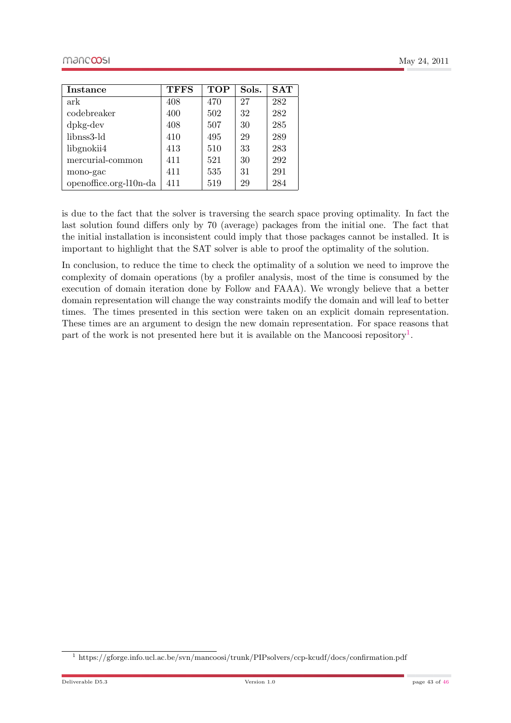| <b>Instance</b>               | <b>TFFS</b> | <b>TOP</b> | Sols. | SAT |
|-------------------------------|-------------|------------|-------|-----|
| ark                           | 408         | 470        | 27    | 282 |
| codebreaker                   | 400         | 502        | 32    | 282 |
| $d$ <sub>p</sub> $kg$ - $dev$ | 408         | 507        | 30    | 285 |
| libnss3-ld                    | 410         | 495        | 29    | 289 |
| libgnokii4                    | 413         | 510        | 33    | 283 |
| mercurial-common              | 411         | 521        | 30    | 292 |
| mono-gac                      | 411         | 535        | 31    | 291 |
| openoffice.org-110n-da        | 411         | 519        | 29    | 284 |

is due to the fact that the solver is traversing the search space proving optimality. In fact the last solution found differs only by 70 (average) packages from the initial one. The fact that the initial installation is inconsistent could imply that those packages cannot be installed. It is important to highlight that the SAT solver is able to proof the optimality of the solution.

In conclusion, to reduce the time to check the optimality of a solution we need to improve the complexity of domain operations (by a profiler analysis, most of the time is consumed by the execution of domain iteration done by Follow and FAAA). We wrongly believe that a better domain representation will change the way constraints modify the domain and will leaf to better times. The times presented in this section were taken on an explicit domain representation. These times are an argument to design the new domain representation. For space reasons that part of the work is not presented here but it is available on the Mancoosi repository<sup>[1](#page-42-0)</sup>.

<span id="page-42-0"></span><sup>1</sup> https://gforge.info.ucl.ac.be/svn/mancoosi/trunk/PIPsolvers/ccp-kcudf/docs/confirmation.pdf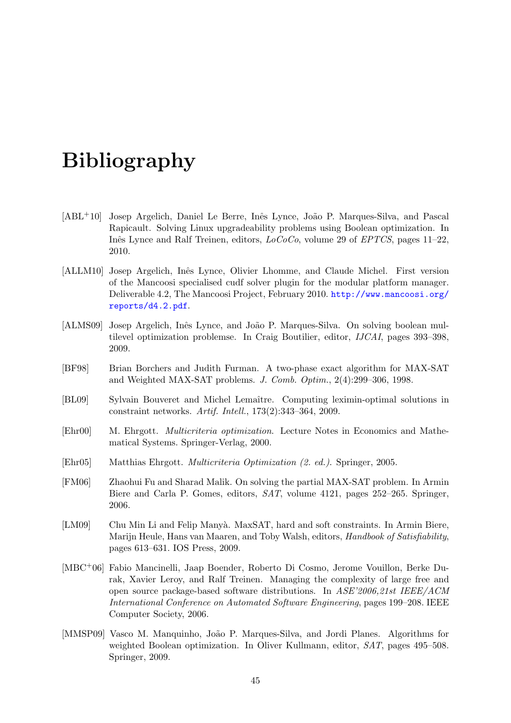## Bibliography

- <span id="page-44-6"></span>[ABL<sup>+</sup>10] Josep Argelich, Daniel Le Berre, Inês Lynce, João P. Marques-Silva, and Pascal Rapicault. Solving Linux upgradeability problems using Boolean optimization. In Inês Lynce and Ralf Treinen, editors,  $LoCoCo$ , volume 29 of *EPTCS*, pages 11–22, 2010.
- <span id="page-44-0"></span>[ALLM10] Josep Argelich, Inês Lynce, Olivier Lhomme, and Claude Michel. First version of the Mancoosi specialised cudf solver plugin for the modular platform manager. Deliverable 4.2, The Mancoosi Project, February 2010. [http://www.mancoosi.org/](http://www.mancoosi.org/reports/d4.2.pdf) [reports/d4.2.pdf](http://www.mancoosi.org/reports/d4.2.pdf).
- <span id="page-44-7"></span>[ALMS09] Josep Argelich, Inês Lynce, and João P. Marques-Silva. On solving boolean multilevel optimization problemse. In Craig Boutilier, editor, IJCAI, pages 393–398, 2009.
- <span id="page-44-10"></span>[BF98] Brian Borchers and Judith Furman. A two-phase exact algorithm for MAX-SAT and Weighted MAX-SAT problems. J. Comb. Optim., 2(4):299–306, 1998.
- <span id="page-44-3"></span>[BL09] Sylvain Bouveret and Michel Lemaˆıtre. Computing leximin-optimal solutions in constraint networks. Artif. Intell., 173(2):343–364, 2009.
- <span id="page-44-2"></span>[Ehr00] M. Ehrgott. Multicriteria optimization. Lecture Notes in Economics and Mathematical Systems. Springer-Verlag, 2000.
- <span id="page-44-5"></span>[Ehr05] Matthias Ehrgott. Multicriteria Optimization (2. ed.). Springer, 2005.
- <span id="page-44-8"></span>[FM06] Zhaohui Fu and Sharad Malik. On solving the partial MAX-SAT problem. In Armin Biere and Carla P. Gomes, editors, SAT, volume 4121, pages 252–265. Springer, 2006.
- <span id="page-44-4"></span>[LM09] Chu Min Li and Felip Manyà. MaxSAT, hard and soft constraints. In Armin Biere, Marijn Heule, Hans van Maaren, and Toby Walsh, editors, Handbook of Satisfiability, pages 613–631. IOS Press, 2009.
- <span id="page-44-1"></span>[MBC+06] Fabio Mancinelli, Jaap Boender, Roberto Di Cosmo, Jerome Vouillon, Berke Durak, Xavier Leroy, and Ralf Treinen. Managing the complexity of large free and open source package-based software distributions. In ASE'2006,21st IEEE/ACM International Conference on Automated Software Engineering, pages 199–208. IEEE Computer Society, 2006.
- <span id="page-44-9"></span>[MMSP09] Vasco M. Manquinho, João P. Marques-Silva, and Jordi Planes. Algorithms for weighted Boolean optimization. In Oliver Kullmann, editor, SAT, pages 495–508. Springer, 2009.